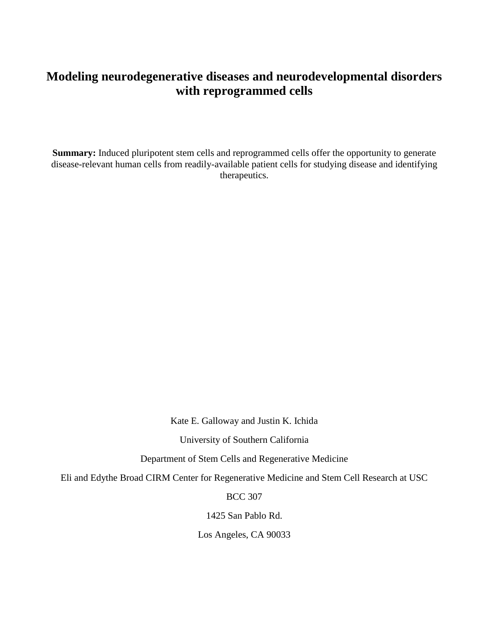# **Modeling neurodegenerative diseases and neurodevelopmental disorders with reprogrammed cells**

**Summary:** Induced pluripotent stem cells and reprogrammed cells offer the opportunity to generate disease-relevant human cells from readily-available patient cells for studying disease and identifying therapeutics.

Kate E. Galloway and Justin K. Ichida

University of Southern California

Department of Stem Cells and Regenerative Medicine

Eli and Edythe Broad CIRM Center for Regenerative Medicine and Stem Cell Research at USC

BCC 307

1425 San Pablo Rd.

Los Angeles, CA 90033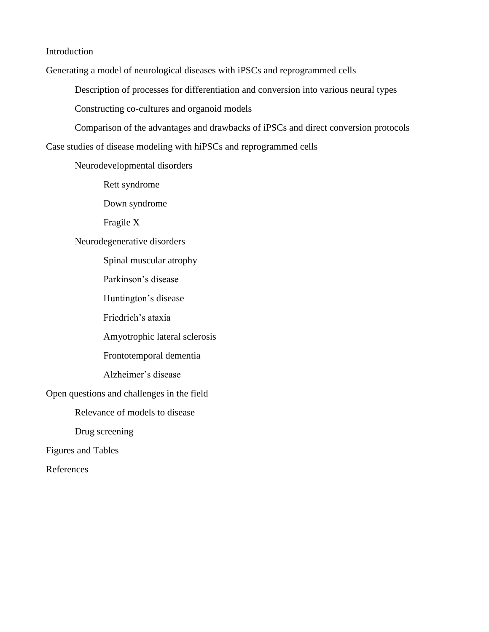## Introduction

Generating a model of neurological diseases with iPSCs and reprogrammed cells

Description of processes for differentiation and conversion into various neural types

Constructing co-cultures and organoid models

Comparison of the advantages and drawbacks of iPSCs and direct conversion protocols

Case studies of disease modeling with hiPSCs and reprogrammed cells

Neurodevelopmental disorders

Rett syndrome

Down syndrome

Fragile X

Neurodegenerative disorders

Spinal muscular atrophy

Parkinson's disease

Huntington's disease

Friedrich's ataxia

Amyotrophic lateral sclerosis

Frontotemporal dementia

Alzheimer's disease

Open questions and challenges in the field

Relevance of models to disease

Drug screening

Figures and Tables

References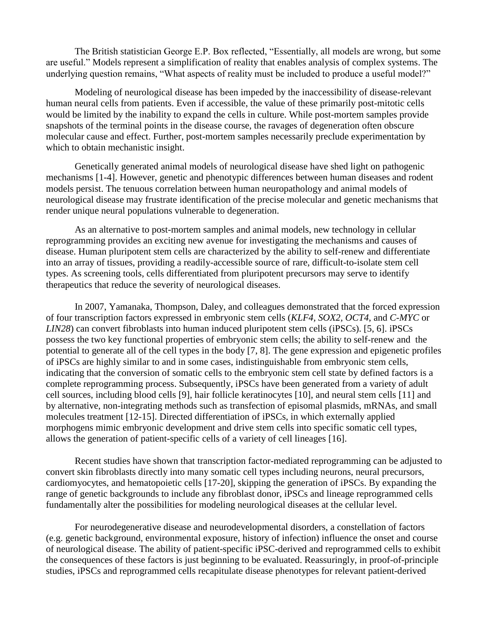The British statistician George E.P. Box reflected, "Essentially, all models are wrong, but some are useful." Models represent a simplification of reality that enables analysis of complex systems. The underlying question remains, "What aspects of reality must be included to produce a useful model?"

Modeling of neurological disease has been impeded by the inaccessibility of disease-relevant human neural cells from patients. Even if accessible, the value of these primarily post-mitotic cells would be limited by the inability to expand the cells in culture. While post-mortem samples provide snapshots of the terminal points in the disease course, the ravages of degeneration often obscure molecular cause and effect. Further, post-mortem samples necessarily preclude experimentation by which to obtain mechanistic insight.

Genetically generated animal models of neurological disease have shed light on pathogenic mechanisms [\[1-4\]](#page-22-0). However, genetic and phenotypic differences between human diseases and rodent models persist. The tenuous correlation between human neuropathology and animal models of neurological disease may frustrate identification of the precise molecular and genetic mechanisms that render unique neural populations vulnerable to degeneration.

As an alternative to post-mortem samples and animal models, new technology in cellular reprogramming provides an exciting new avenue for investigating the mechanisms and causes of disease. Human pluripotent stem cells are characterized by the ability to self-renew and differentiate into an array of tissues, providing a readily-accessible source of rare, difficult-to-isolate stem cell types. As screening tools, cells differentiated from pluripotent precursors may serve to identify therapeutics that reduce the severity of neurological diseases.

In 2007, Yamanaka, Thompson, Daley, and colleagues demonstrated that the forced expression of four transcription factors expressed in embryonic stem cells (*KLF4, SOX2, OCT4*, and *C-MYC* or *LIN28*) can convert fibroblasts into human induced pluripotent stem cells (iPSCs). [\[5,](#page-22-1) [6\]](#page-22-2). iPSCs possess the two key functional properties of embryonic stem cells; the ability to self-renew and the potential to generate all of the cell types in the body [\[7,](#page-22-3) [8\]](#page-22-4). The gene expression and epigenetic profiles of iPSCs are highly similar to and in some cases, indistinguishable from embryonic stem cells, indicating that the conversion of somatic cells to the embryonic stem cell state by defined factors is a complete reprogramming process. Subsequently, iPSCs have been generated from a variety of adult cell sources, including blood cells [\[9\]](#page-22-5), hair follicle keratinocytes [\[10\]](#page-22-6), and neural stem cells [\[11\]](#page-22-7) and by alternative, non-integrating methods such as transfection of episomal plasmids, mRNAs, and small molecules treatment [\[12-15\]](#page-22-8). Directed differentiation of iPSCs, in which externally applied morphogens mimic embryonic development and drive stem cells into specific somatic cell types, allows the generation of patient-specific cells of a variety of cell lineages [\[16\]](#page-23-0).

Recent studies have shown that transcription factor-mediated reprogramming can be adjusted to convert skin fibroblasts directly into many somatic cell types including neurons, neural precursors, cardiomyocytes, and hematopoietic cells [\[17-20\]](#page-23-1), skipping the generation of iPSCs. By expanding the range of genetic backgrounds to include any fibroblast donor, iPSCs and lineage reprogrammed cells fundamentally alter the possibilities for modeling neurological diseases at the cellular level.

For neurodegenerative disease and neurodevelopmental disorders, a constellation of factors (e.g. genetic background, environmental exposure, history of infection) influence the onset and course of neurological disease. The ability of patient-specific iPSC-derived and reprogrammed cells to exhibit the consequences of these factors is just beginning to be evaluated. Reassuringly, in proof-of-principle studies, iPSCs and reprogrammed cells recapitulate disease phenotypes for relevant patient-derived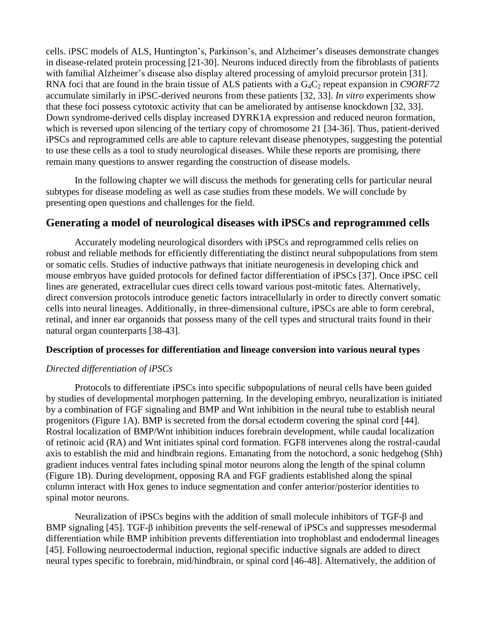cells. iPSC models of ALS, Huntington's, Parkinson's, and Alzheimer's diseases demonstrate changes in disease-related protein processing [\[21-30\]](#page-23-2). Neurons induced directly from the fibroblasts of patients with familial Alzheimer's disease also display altered processing of amyloid precursor protein [\[31\]](#page-23-3). RNA foci that are found in the brain tissue of ALS patients with a G<sub>4</sub>C<sub>2</sub> repeat expansion in *C9ORF72* accumulate similarly in iPSC-derived neurons from these patients [\[32,](#page-24-0) [33\]](#page-24-1). *In vitro* experiments show that these foci possess cytotoxic activity that can be ameliorated by antisense knockdown [\[32,](#page-24-0) [33\]](#page-24-1). Down syndrome-derived cells display increased DYRK1A expression and reduced neuron formation, which is reversed upon silencing of the tertiary copy of chromosome 21 [\[34-36\]](#page-24-2). Thus, patient-derived iPSCs and reprogrammed cells are able to capture relevant disease phenotypes, suggesting the potential to use these cells as a tool to study neurological diseases. While these reports are promising, there remain many questions to answer regarding the construction of disease models.

In the following chapter we will discuss the methods for generating cells for particular neural subtypes for disease modeling as well as case studies from these models. We will conclude by presenting open questions and challenges for the field.

# **Generating a model of neurological diseases with iPSCs and reprogrammed cells**

Accurately modeling neurological disorders with iPSCs and reprogrammed cells relies on robust and reliable methods for efficiently differentiating the distinct neural subpopulations from stem or somatic cells. Studies of inductive pathways that initiate neurogenesis in developing chick and mouse embryos have guided protocols for defined factor differentiation of iPSCs [\[37\]](#page-24-3). Once iPSC cell lines are generated, extracellular cues direct cells toward various post-mitotic fates. Alternatively, direct conversion protocols introduce genetic factors intracellularly in order to directly convert somatic cells into neural lineages. Additionally, in three-dimensional culture, iPSCs are able to form cerebral, retinal, and inner ear organoids that possess many of the cell types and structural traits found in their natural organ counterparts [\[38-43\]](#page-24-4).

# **Description of processes for differentiation and lineage conversion into various neural types**

# *Directed differentiation of iPSCs*

Protocols to differentiate iPSCs into specific subpopulations of neural cells have been guided by studies of developmental morphogen patterning. In the developing embryo, neuralization is initiated by a combination of FGF signaling and BMP and Wnt inhibition in the neural tube to establish neural progenitors (Figure 1A). BMP is secreted from the dorsal ectoderm covering the spinal cord [\[44\]](#page-24-5). Rostral localization of BMP/Wnt inhibition induces forebrain development, while caudal localization of retinoic acid (RA) and Wnt initiates spinal cord formation. FGF8 intervenes along the rostral-caudal axis to establish the mid and hindbrain regions. Emanating from the notochord, a sonic hedgehog (Shh) gradient induces ventral fates including spinal motor neurons along the length of the spinal column (Figure 1B). During development, opposing RA and FGF gradients established along the spinal column interact with Hox genes to induce segmentation and confer anterior/posterior identities to spinal motor neurons.

Neuralization of iPSCs begins with the addition of small molecule inhibitors of TGF-β and BMP signaling [\[45\]](#page-24-6). TGF-β inhibition prevents the self-renewal of iPSCs and suppresses mesodermal differentiation while BMP inhibition prevents differentiation into trophoblast and endodermal lineages [\[45\]](#page-24-6). Following neuroectodermal induction, regional specific inductive signals are added to direct neural types specific to forebrain, mid/hindbrain, or spinal cord [\[46-48\]](#page-24-7). Alternatively, the addition of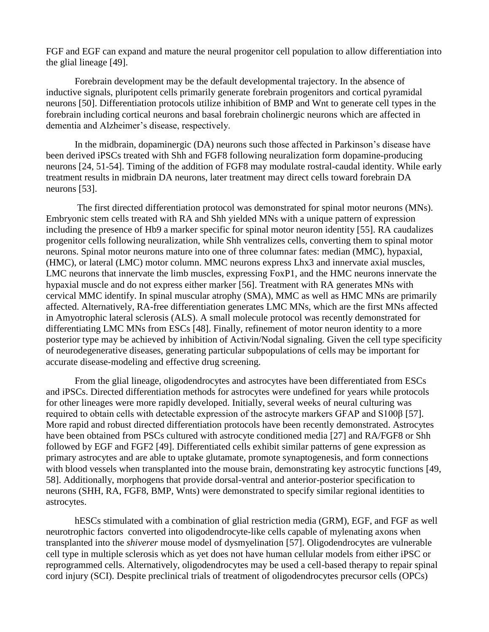FGF and EGF can expand and mature the neural progenitor cell population to allow differentiation into the glial lineage [\[49\]](#page-25-0).

Forebrain development may be the default developmental trajectory. In the absence of inductive signals, pluripotent cells primarily generate forebrain progenitors and cortical pyramidal neurons [\[50\]](#page-25-1). Differentiation protocols utilize inhibition of BMP and Wnt to generate cell types in the forebrain including cortical neurons and basal forebrain cholinergic neurons which are affected in dementia and Alzheimer's disease, respectively.

In the midbrain, dopaminergic (DA) neurons such those affected in Parkinson's disease have been derived iPSCs treated with Shh and FGF8 following neuralization form dopamine-producing neurons [\[24,](#page-23-4) [51-54\]](#page-25-2). Timing of the addition of FGF8 may modulate rostral-caudal identity. While early treatment results in midbrain DA neurons, later treatment may direct cells toward forebrain DA neurons [\[53\]](#page-25-3).

The first directed differentiation protocol was demonstrated for spinal motor neurons (MNs). Embryonic stem cells treated with RA and Shh yielded MNs with a unique pattern of expression including the presence of Hb9 a marker specific for spinal motor neuron identity [\[55\]](#page-25-4). RA caudalizes progenitor cells following neuralization, while Shh ventralizes cells, converting them to spinal motor neurons. Spinal motor neurons mature into one of three columnar fates: median (MMC), hypaxial, (HMC), or lateral (LMC) motor column. MMC neurons express Lhx3 and innervate axial muscles, LMC neurons that innervate the limb muscles, expressing FoxP1, and the HMC neurons innervate the hypaxial muscle and do not express either marker [\[56\]](#page-25-5). Treatment with RA generates MNs with cervical MMC identify. In spinal muscular atrophy (SMA), MMC as well as HMC MNs are primarily affected. Alternatively, RA-free differentiation generates LMC MNs, which are the first MNs affected in Amyotrophic lateral sclerosis (ALS). A small molecule protocol was recently demonstrated for differentiating LMC MNs from ESCs [\[48\]](#page-24-8). Finally, refinement of motor neuron identity to a more posterior type may be achieved by inhibition of Activin/Nodal signaling. Given the cell type specificity of neurodegenerative diseases, generating particular subpopulations of cells may be important for accurate disease-modeling and effective drug screening.

From the glial lineage, oligodendrocytes and astrocytes have been differentiated from ESCs and iPSCs. Directed differentiation methods for astrocytes were undefined for years while protocols for other lineages were more rapidly developed. Initially, several weeks of neural culturing was required to obtain cells with detectable expression of the astrocyte markers GFAP and S100β [\[57\]](#page-25-6). More rapid and robust directed differentiation protocols have been recently demonstrated. Astrocytes have been obtained from PSCs cultured with astrocyte conditioned media [\[27\]](#page-23-5) and RA/FGF8 or Shh followed by EGF and FGF2 [\[49\]](#page-25-0). Differentiated cells exhibit similar patterns of gene expression as primary astrocytes and are able to uptake glutamate, promote synaptogenesis, and form connections with blood vessels when transplanted into the mouse brain, demonstrating key astrocytic functions [\[49,](#page-25-0) [58\]](#page-25-7). Additionally, morphogens that provide dorsal-ventral and anterior-posterior specification to neurons (SHH, RA, FGF8, BMP, Wnts) were demonstrated to specify similar regional identities to astrocytes.

hESCs stimulated with a combination of glial restriction media (GRM), EGF, and FGF as well neurotrophic factors converted into oligodendrocyte-like cells capable of mylenating axons when transplanted into the *shiverer* mouse model of dysmyelination [\[57\]](#page-25-6). Oligodendrocytes are vulnerable cell type in multiple sclerosis which as yet does not have human cellular models from either iPSC or reprogrammed cells. Alternatively, oligodendrocytes may be used a cell-based therapy to repair spinal cord injury (SCI). Despite preclinical trials of treatment of oligodendrocytes precursor cells (OPCs)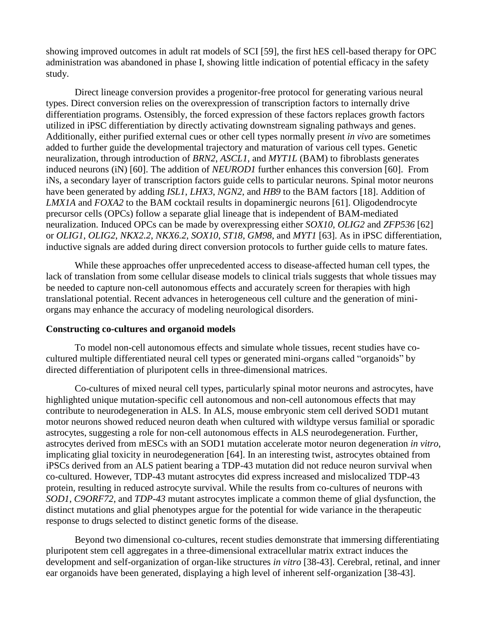showing improved outcomes in adult rat models of SCI [\[59\]](#page-25-8), the first hES cell-based therapy for OPC administration was abandoned in phase I, showing little indication of potential efficacy in the safety study.

Direct lineage conversion provides a progenitor-free protocol for generating various neural types. Direct conversion relies on the overexpression of transcription factors to internally drive differentiation programs. Ostensibly, the forced expression of these factors replaces growth factors utilized in iPSC differentiation by directly activating downstream signaling pathways and genes. Additionally, either purified external cues or other cell types normally present *in vivo* are sometimes added to further guide the developmental trajectory and maturation of various cell types. Genetic neuralization, through introduction of *BRN2*, *ASCL1*, and *MYT1L* (BAM) to fibroblasts generates induced neurons (iN) [\[60\]](#page-25-9). The addition of *NEUROD1* further enhances this conversion [\[60\]](#page-25-9). From iNs, a secondary layer of transcription factors guide cells to particular neurons. Spinal motor neurons have been generated by adding *ISL1*, *LHX3*, *NGN2*, and *HB9* to the BAM factors [\[18\]](#page-23-6). Addition of *LMX1A* and *FOXA2* to the BAM cocktail results in dopaminergic neurons [\[61\]](#page-25-10). Oligodendrocyte precursor cells (OPCs) follow a separate glial lineage that is independent of BAM-mediated neuralization. Induced OPCs can be made by overexpressing either *SOX10*, *OLIG2* and *ZFP536* [\[62\]](#page-25-11) or *OLIG1*, *OLIG2*, *NKX2.2*, *NKX6.2*, *SOX10*, *ST18*, *GM98*, and *MYT1* [\[63\]](#page-25-12). As in iPSC differentiation, inductive signals are added during direct conversion protocols to further guide cells to mature fates.

While these approaches offer unprecedented access to disease-affected human cell types, the lack of translation from some cellular disease models to clinical trials suggests that whole tissues may be needed to capture non-cell autonomous effects and accurately screen for therapies with high translational potential. Recent advances in heterogeneous cell culture and the generation of miniorgans may enhance the accuracy of modeling neurological disorders.

#### **Constructing co-cultures and organoid models**

To model non-cell autonomous effects and simulate whole tissues, recent studies have cocultured multiple differentiated neural cell types or generated mini-organs called "organoids" by directed differentiation of pluripotent cells in three-dimensional matrices.

Co-cultures of mixed neural cell types, particularly spinal motor neurons and astrocytes, have highlighted unique mutation-specific cell autonomous and non-cell autonomous effects that may contribute to neurodegeneration in ALS. In ALS, mouse embryonic stem cell derived SOD1 mutant motor neurons showed reduced neuron death when cultured with wildtype versus familial or sporadic astrocytes, suggesting a role for non-cell autonomous effects in ALS neurodegeneration. Further, astrocytes derived from mESCs with an SOD1 mutation accelerate motor neuron degeneration *in vitro*, implicating glial toxicity in neurodegeneration [\[64\]](#page-25-13). In an interesting twist, astrocytes obtained from iPSCs derived from an ALS patient bearing a TDP-43 mutation did not reduce neuron survival when co-cultured. However, TDP-43 mutant astrocytes did express increased and mislocalized TDP-43 protein, resulting in reduced astrocyte survival. While the results from co-cultures of neurons with *SOD1*, *C9ORF72*, and *TDP-43* mutant astrocytes implicate a common theme of glial dysfunction, the distinct mutations and glial phenotypes argue for the potential for wide variance in the therapeutic response to drugs selected to distinct genetic forms of the disease.

Beyond two dimensional co-cultures, recent studies demonstrate that immersing differentiating pluripotent stem cell aggregates in a three-dimensional extracellular matrix extract induces the development and self-organization of organ-like structures *in vitro* [\[38-43\]](#page-24-4). Cerebral, retinal, and inner ear organoids have been generated, displaying a high level of inherent self-organization [\[38-43\]](#page-24-4).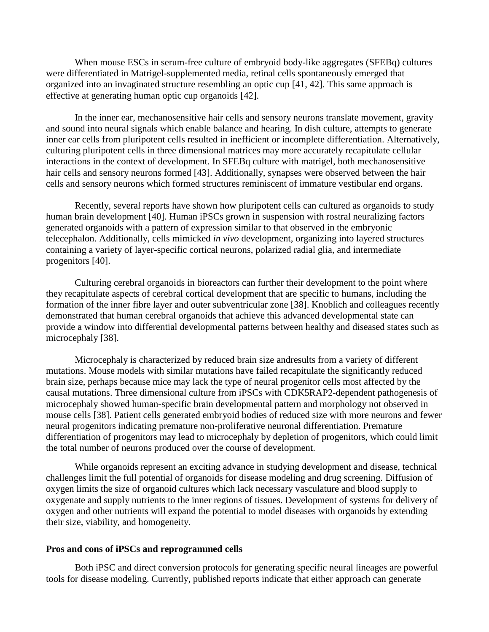When mouse ESCs in serum-free culture of embryoid body-like aggregates (SFEBq) cultures were differentiated in Matrigel-supplemented media, retinal cells spontaneously emerged that organized into an invaginated structure resembling an optic cup [\[41,](#page-24-9) [42\]](#page-24-10). This same approach is effective at generating human optic cup organoids [\[42\]](#page-24-10).

In the inner ear, mechanosensitive hair cells and sensory neurons translate movement, gravity and sound into neural signals which enable balance and hearing. In dish culture, attempts to generate inner ear cells from pluripotent cells resulted in inefficient or incomplete differentiation. Alternatively, culturing pluripotent cells in three dimensional matrices may more accurately recapitulate cellular interactions in the context of development. In SFEBq culture with matrigel, both mechanosensitive hair cells and sensory neurons formed [\[43\]](#page-24-11). Additionally, synapses were observed between the hair cells and sensory neurons which formed structures reminiscent of immature vestibular end organs.

Recently, several reports have shown how pluripotent cells can cultured as organoids to study human brain development [\[40\]](#page-24-12). Human iPSCs grown in suspension with rostral neuralizing factors generated organoids with a pattern of expression similar to that observed in the embryonic telecephalon. Additionally, cells mimicked *in vivo* development, organizing into layered structures containing a variety of layer-specific cortical neurons, polarized radial glia, and intermediate progenitors [\[40\]](#page-24-12).

Culturing cerebral organoids in bioreactors can further their development to the point where they recapitulate aspects of cerebral cortical development that are specific to humans, including the formation of the inner fibre layer and outer subventricular zone [\[38\]](#page-24-4). Knoblich and colleagues recently demonstrated that human cerebral organoids that achieve this advanced developmental state can provide a window into differential developmental patterns between healthy and diseased states such as microcephaly [\[38\]](#page-24-4).

Microcephaly is characterized by reduced brain size andresults from a variety of different mutations. Mouse models with similar mutations have failed recapitulate the significantly reduced brain size, perhaps because mice may lack the type of neural progenitor cells most affected by the causal mutations. Three dimensional culture from iPSCs with CDK5RAP2-dependent pathogenesis of microcephaly showed human-specific brain developmental pattern and morphology not observed in mouse cells [\[38\]](#page-24-4). Patient cells generated embryoid bodies of reduced size with more neurons and fewer neural progenitors indicating premature non-proliferative neuronal differentiation. Premature differentiation of progenitors may lead to microcephaly by depletion of progenitors, which could limit the total number of neurons produced over the course of development.

While organoids represent an exciting advance in studying development and disease, technical challenges limit the full potential of organoids for disease modeling and drug screening. Diffusion of oxygen limits the size of organoid cultures which lack necessary vasculature and blood supply to oxygenate and supply nutrients to the inner regions of tissues. Development of systems for delivery of oxygen and other nutrients will expand the potential to model diseases with organoids by extending their size, viability, and homogeneity.

#### **Pros and cons of iPSCs and reprogrammed cells**

Both iPSC and direct conversion protocols for generating specific neural lineages are powerful tools for disease modeling. Currently, published reports indicate that either approach can generate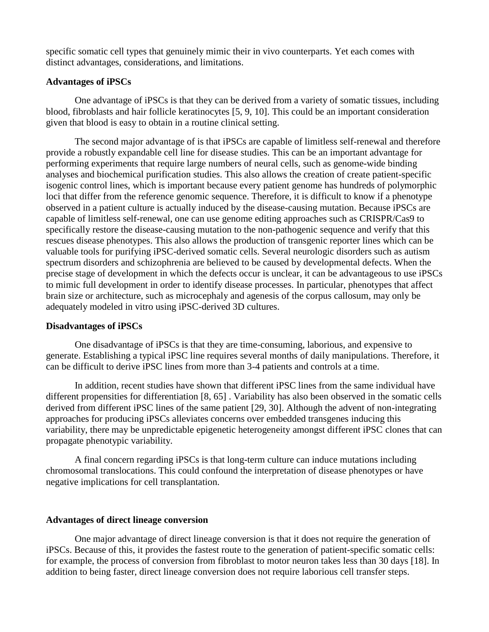specific somatic cell types that genuinely mimic their in vivo counterparts. Yet each comes with distinct advantages, considerations, and limitations.

### **Advantages of iPSCs**

One advantage of iPSCs is that they can be derived from a variety of somatic tissues, including blood, fibroblasts and hair follicle keratinocytes [\[5,](#page-22-1) [9,](#page-22-5) [10\]](#page-22-6). This could be an important consideration given that blood is easy to obtain in a routine clinical setting.

The second major advantage of is that iPSCs are capable of limitless self-renewal and therefore provide a robustly expandable cell line for disease studies. This can be an important advantage for performing experiments that require large numbers of neural cells, such as genome-wide binding analyses and biochemical purification studies. This also allows the creation of create patient-specific isogenic control lines, which is important because every patient genome has hundreds of polymorphic loci that differ from the reference genomic sequence. Therefore, it is difficult to know if a phenotype observed in a patient culture is actually induced by the disease-causing mutation. Because iPSCs are capable of limitless self-renewal, one can use genome editing approaches such as CRISPR/Cas9 to specifically restore the disease-causing mutation to the non-pathogenic sequence and verify that this rescues disease phenotypes. This also allows the production of transgenic reporter lines which can be valuable tools for purifying iPSC-derived somatic cells. Several neurologic disorders such as autism spectrum disorders and schizophrenia are believed to be caused by developmental defects. When the precise stage of development in which the defects occur is unclear, it can be advantageous to use iPSCs to mimic full development in order to identify disease processes. In particular, phenotypes that affect brain size or architecture, such as microcephaly and agenesis of the corpus callosum, may only be adequately modeled in vitro using iPSC-derived 3D cultures.

# **Disadvantages of iPSCs**

One disadvantage of iPSCs is that they are time-consuming, laborious, and expensive to generate. Establishing a typical iPSC line requires several months of daily manipulations. Therefore, it can be difficult to derive iPSC lines from more than 3-4 patients and controls at a time.

In addition, recent studies have shown that different iPSC lines from the same individual have different propensities for differentiation [\[8,](#page-22-4) [65\]](#page-25-14) . Variability has also been observed in the somatic cells derived from different iPSC lines of the same patient [\[29,](#page-23-7) [30\]](#page-23-8). Although the advent of non-integrating approaches for producing iPSCs alleviates concerns over embedded transgenes inducing this variability, there may be unpredictable epigenetic heterogeneity amongst different iPSC clones that can propagate phenotypic variability.

A final concern regarding iPSCs is that long-term culture can induce mutations including chromosomal translocations. This could confound the interpretation of disease phenotypes or have negative implications for cell transplantation.

#### **Advantages of direct lineage conversion**

One major advantage of direct lineage conversion is that it does not require the generation of iPSCs. Because of this, it provides the fastest route to the generation of patient-specific somatic cells: for example, the process of conversion from fibroblast to motor neuron takes less than 30 days [\[18\]](#page-23-6). In addition to being faster, direct lineage conversion does not require laborious cell transfer steps.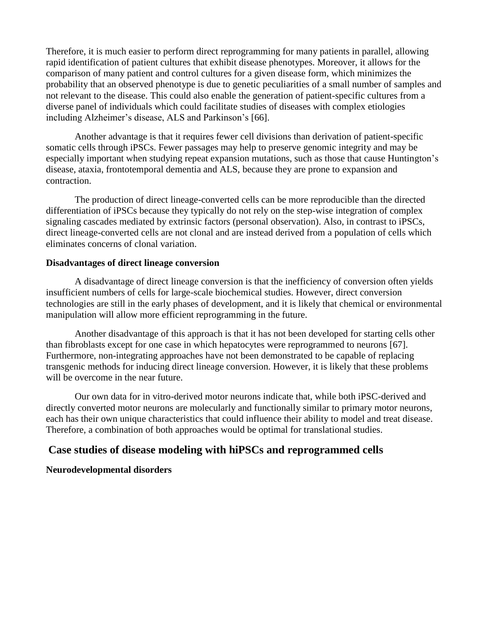Therefore, it is much easier to perform direct reprogramming for many patients in parallel, allowing rapid identification of patient cultures that exhibit disease phenotypes. Moreover, it allows for the comparison of many patient and control cultures for a given disease form, which minimizes the probability that an observed phenotype is due to genetic peculiarities of a small number of samples and not relevant to the disease. This could also enable the generation of patient-specific cultures from a diverse panel of individuals which could facilitate studies of diseases with complex etiologies including Alzheimer's disease, ALS and Parkinson's [\[66\]](#page-26-0).

Another advantage is that it requires fewer cell divisions than derivation of patient-specific somatic cells through iPSCs. Fewer passages may help to preserve genomic integrity and may be especially important when studying repeat expansion mutations, such as those that cause Huntington's disease, ataxia, frontotemporal dementia and ALS, because they are prone to expansion and contraction.

The production of direct lineage-converted cells can be more reproducible than the directed differentiation of iPSCs because they typically do not rely on the step-wise integration of complex signaling cascades mediated by extrinsic factors (personal observation). Also, in contrast to iPSCs, direct lineage-converted cells are not clonal and are instead derived from a population of cells which eliminates concerns of clonal variation.

# **Disadvantages of direct lineage conversion**

A disadvantage of direct lineage conversion is that the inefficiency of conversion often yields insufficient numbers of cells for large-scale biochemical studies. However, direct conversion technologies are still in the early phases of development, and it is likely that chemical or environmental manipulation will allow more efficient reprogramming in the future.

Another disadvantage of this approach is that it has not been developed for starting cells other than fibroblasts except for one case in which hepatocytes were reprogrammed to neurons [\[67\]](#page-26-1). Furthermore, non-integrating approaches have not been demonstrated to be capable of replacing transgenic methods for inducing direct lineage conversion. However, it is likely that these problems will be overcome in the near future.

Our own data for in vitro-derived motor neurons indicate that, while both iPSC-derived and directly converted motor neurons are molecularly and functionally similar to primary motor neurons, each has their own unique characteristics that could influence their ability to model and treat disease. Therefore, a combination of both approaches would be optimal for translational studies.

# **Case studies of disease modeling with hiPSCs and reprogrammed cells**

# **Neurodevelopmental disorders**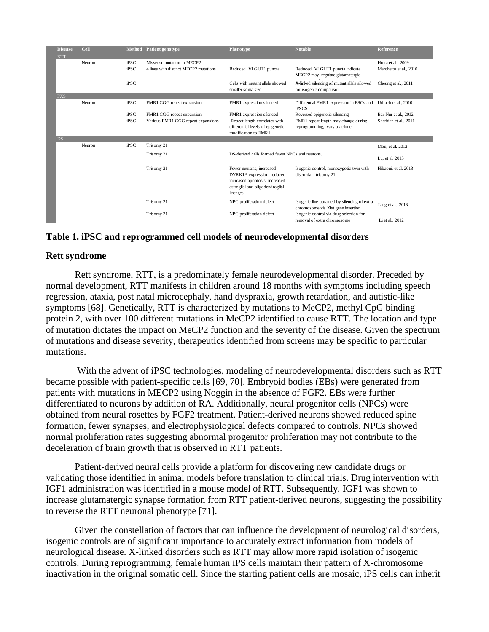|  | <b>Disease</b><br><b>RTT</b>                                                                                                                                                                                                                                                                                                         | Cell                 |              | <b>Method</b> Patient genotype                                             | Phenotype                                                                                                                                | <b>Notable</b>                                                                                                                                                                                                                                                                                                                                                                                                                                                                                                                                                                                                                                                                                   | Reference                                     |  |  |  |  |
|--|--------------------------------------------------------------------------------------------------------------------------------------------------------------------------------------------------------------------------------------------------------------------------------------------------------------------------------------|----------------------|--------------|----------------------------------------------------------------------------|------------------------------------------------------------------------------------------------------------------------------------------|--------------------------------------------------------------------------------------------------------------------------------------------------------------------------------------------------------------------------------------------------------------------------------------------------------------------------------------------------------------------------------------------------------------------------------------------------------------------------------------------------------------------------------------------------------------------------------------------------------------------------------------------------------------------------------------------------|-----------------------------------------------|--|--|--|--|
|  |                                                                                                                                                                                                                                                                                                                                      | Neuron               | iPSC<br>iPSC | Missense mutation to MECP2<br>4 lines with distinct MECP2 mutations        | Reduced VLGUT1 puncta                                                                                                                    | Reduced VLGUT1 puncta indicate<br>MECP2 may regulate glutamatergic                                                                                                                                                                                                                                                                                                                                                                                                                                                                                                                                                                                                                               | Hotta et al., 2009<br>Marchetto et al., 2010  |  |  |  |  |
|  |                                                                                                                                                                                                                                                                                                                                      |                      | iPSC         |                                                                            | Cells with mutant allele showed<br>smaller soma size                                                                                     | X-linked silencing of mutant allele allowed<br>for isogenic comparison                                                                                                                                                                                                                                                                                                                                                                                                                                                                                                                                                                                                                           | Cheung et al., 2011                           |  |  |  |  |
|  | <b>FXS</b>                                                                                                                                                                                                                                                                                                                           | Neuron               | iPSC         | FMR1 CGG repeat expansion                                                  | FMR1 expression silenced                                                                                                                 | Differential FMR1 expression in ESCs and<br>iPSCS                                                                                                                                                                                                                                                                                                                                                                                                                                                                                                                                                                                                                                                | Urbach et al., 2010                           |  |  |  |  |
|  |                                                                                                                                                                                                                                                                                                                                      |                      | iPSC<br>iPSC | FMR1 CGG repeat expansion<br>Various FMR1 CGG repeat expansions            | FMR1 expression silenced<br>Repeat length correlates with<br>differential levels of epigenetic<br>modification to FMR1                   | Reversed epigenetic silencing<br>FMR1 repeat length may change during<br>reprogramming, vary by clone                                                                                                                                                                                                                                                                                                                                                                                                                                                                                                                                                                                            | Bar-Nur et al., 2012<br>Sheridan et al., 2011 |  |  |  |  |
|  | DS.                                                                                                                                                                                                                                                                                                                                  | Neuron               | iPSC         | Trisomy 21                                                                 |                                                                                                                                          |                                                                                                                                                                                                                                                                                                                                                                                                                                                                                                                                                                                                                                                                                                  | Mou, et al. 2012                              |  |  |  |  |
|  |                                                                                                                                                                                                                                                                                                                                      |                      |              | Trisomy 21                                                                 | DS-derived cells formed fewer NPCs and neurons.                                                                                          |                                                                                                                                                                                                                                                                                                                                                                                                                                                                                                                                                                                                                                                                                                  | Lu, et al. 2013                               |  |  |  |  |
|  |                                                                                                                                                                                                                                                                                                                                      |                      |              | Trisomy 21                                                                 | Fewer neurons, increased<br>DYRK1A expression, reduced,<br>increased apoptosis, increased<br>astroglial and oligodendroglial<br>lineages | Isogenic control, monozygotic twin with<br>discordant trisomy 21                                                                                                                                                                                                                                                                                                                                                                                                                                                                                                                                                                                                                                 | Hibaoui, et al. 2013                          |  |  |  |  |
|  |                                                                                                                                                                                                                                                                                                                                      |                      |              | Trisomy 21                                                                 | NPC proliferation defect                                                                                                                 | Isogenic line obtained by silencing of extra<br>chromosome via Xist gene insertion<br>Isogenic control via drug selection for<br>removal of extra chromosome                                                                                                                                                                                                                                                                                                                                                                                                                                                                                                                                     | Jiang et al., 2013                            |  |  |  |  |
|  |                                                                                                                                                                                                                                                                                                                                      |                      |              | Trisomy 21                                                                 | NPC proliferation defect                                                                                                                 |                                                                                                                                                                                                                                                                                                                                                                                                                                                                                                                                                                                                                                                                                                  | Li et al., 2012                               |  |  |  |  |
|  |                                                                                                                                                                                                                                                                                                                                      |                      |              | Table 1. iPSC and reprogrammed cell models of neurodevelopmental disorders |                                                                                                                                          |                                                                                                                                                                                                                                                                                                                                                                                                                                                                                                                                                                                                                                                                                                  |                                               |  |  |  |  |
|  |                                                                                                                                                                                                                                                                                                                                      | <b>Rett syndrome</b> |              |                                                                            |                                                                                                                                          |                                                                                                                                                                                                                                                                                                                                                                                                                                                                                                                                                                                                                                                                                                  |                                               |  |  |  |  |
|  | protein 2, with over 100 different mutations in MeCP2 identified to cause RTT. The location and type<br>of mutation dictates the impact on MeCP2 function and the severity of the disease. Given the spectrum<br>of mutations and disease severity, therapeutics identified from screens may be specific to particular<br>mutations. |                      |              |                                                                            |                                                                                                                                          |                                                                                                                                                                                                                                                                                                                                                                                                                                                                                                                                                                                                                                                                                                  |                                               |  |  |  |  |
|  |                                                                                                                                                                                                                                                                                                                                      |                      |              | deceleration of brain growth that is observed in RTT patients.             |                                                                                                                                          | With the advent of iPSC technologies, modeling of neurodevelopmental disorders such as RTT<br>became possible with patient-specific cells [69, 70]. Embryoid bodies (EBs) were generated from<br>patients with mutations in MECP2 using Noggin in the absence of FGF2. EBs were further<br>differentiated to neurons by addition of RA. Additionally, neural progenitor cells (NPCs) were<br>obtained from neural rosettes by FGF2 treatment. Patient-derived neurons showed reduced spine<br>formation, fewer synapses, and electrophysiological defects compared to controls. NPCs showed<br>normal proliferation rates suggesting abnormal progenitor proliferation may not contribute to the |                                               |  |  |  |  |
|  |                                                                                                                                                                                                                                                                                                                                      |                      |              | to reverse the RTT neuronal phenotype [71].                                |                                                                                                                                          | Patient-derived neural cells provide a platform for discovering new candidate drugs or<br>validating those identified in animal models before translation to clinical trials. Drug intervention with<br>IGF1 administration was identified in a mouse model of RTT. Subsequently, IGF1 was shown to<br>increase glutamatergic synapse formation from RTT patient-derived neurons, suggesting the possibility                                                                                                                                                                                                                                                                                     |                                               |  |  |  |  |
|  |                                                                                                                                                                                                                                                                                                                                      |                      |              |                                                                            |                                                                                                                                          | Given the constellation of factors that can influence the development of neurological disorders,<br>isogenic controls are of significant importance to accurately extract information from models of<br>neurological disease. X-linked disorders such as RTT may allow more rapid isolation of isogenic<br>controls. During reprogramming, female human iPS cells maintain their pattern of X-chromosome<br>inactivation in the original somatic cell. Since the starting patient cells are mosaic, iPS cells can inherit                                                                                                                                                                        |                                               |  |  |  |  |



# **Rett syndrome**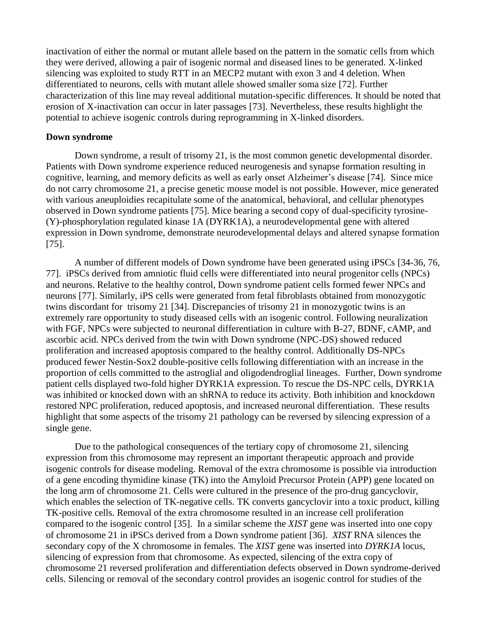inactivation of either the normal or mutant allele based on the pattern in the somatic cells from which they were derived, allowing a pair of isogenic normal and diseased lines to be generated. X-linked silencing was exploited to study RTT in an MECP2 mutant with exon 3 and 4 deletion. When differentiated to neurons, cells with mutant allele showed smaller soma size [\[72\]](#page-26-6). Further characterization of this line may reveal additional mutation-specific differences. It should be noted that erosion of X-inactivation can occur in later passages [\[73\]](#page-26-7). Nevertheless, these results highlight the potential to achieve isogenic controls during reprogramming in X-linked disorders.

#### **Down syndrome**

Down syndrome, a result of trisomy 21, is the most common genetic developmental disorder. Patients with Down syndrome experience reduced neurogenesis and synapse formation resulting in cognitive, learning, and memory deficits as well as early onset Alzheimer's disease [\[74\]](#page-26-8). Since mice do not carry chromosome 21, a precise genetic mouse model is not possible. However, mice generated with various aneuploidies recapitulate some of the anatomical, behavioral, and cellular phenotypes observed in Down syndrome patients [\[75\]](#page-26-9). Mice bearing a second copy of dual-specificity tyrosine- (Y)-phosphorylation regulated kinase 1A (DYRK1A), a neurodevelopmental gene with altered expression in Down syndrome, demonstrate neurodevelopmental delays and altered synapse formation [\[75\]](#page-26-9).

A number of different models of Down syndrome have been generated using iPSCs [\[34-36,](#page-24-2) [76,](#page-26-10) [77\]](#page-26-11). iPSCs derived from amniotic fluid cells were differentiated into neural progenitor cells (NPCs) and neurons. Relative to the healthy control, Down syndrome patient cells formed fewer NPCs and neurons [\[77\]](#page-26-11). Similarly, iPS cells were generated from fetal fibroblasts obtained from monozygotic twins discordant for trisomy 21 [\[34\]](#page-24-2). Discrepancies of trisomy 21 in monozygotic twins is an extremely rare opportunity to study diseased cells with an isogenic control. Following neuralization with FGF, NPCs were subjected to neuronal differentiation in culture with B-27, BDNF, cAMP, and ascorbic acid. NPCs derived from the twin with Down syndrome (NPC-DS) showed reduced proliferation and increased apoptosis compared to the healthy control. Additionally DS-NPCs produced fewer Nestin-Sox2 double-positive cells following differentiation with an increase in the proportion of cells committed to the astroglial and oligodendroglial lineages. Further, Down syndrome patient cells displayed two-fold higher DYRK1A expression. To rescue the DS-NPC cells, DYRK1A was inhibited or knocked down with an shRNA to reduce its activity. Both inhibition and knockdown restored NPC proliferation, reduced apoptosis, and increased neuronal differentiation. These results highlight that some aspects of the trisomy 21 pathology can be reversed by silencing expression of a single gene.

Due to the pathological consequences of the tertiary copy of chromosome 21, silencing expression from this chromosome may represent an important therapeutic approach and provide isogenic controls for disease modeling. Removal of the extra chromosome is possible via introduction of a gene encoding thymidine kinase (TK) into the Amyloid Precursor Protein (APP) gene located on the long arm of chromosome 21. Cells were cultured in the presence of the pro-drug gancyclovir, which enables the selection of TK-negative cells. TK converts gancyclovir into a toxic product, killing TK-positive cells. Removal of the extra chromosome resulted in an increase cell proliferation compared to the isogenic control [\[35\]](#page-24-13). In a similar scheme the *XIST* gene was inserted into one copy of chromosome 21 in iPSCs derived from a Down syndrome patient [\[36\]](#page-24-14). *XIST* RNA silences the secondary copy of the X chromosome in females. The *XIST* gene was inserted into *DYRK1A* locus, silencing of expression from that chromosome. As expected, silencing of the extra copy of chromosome 21 reversed proliferation and differentiation defects observed in Down syndrome-derived cells. Silencing or removal of the secondary control provides an isogenic control for studies of the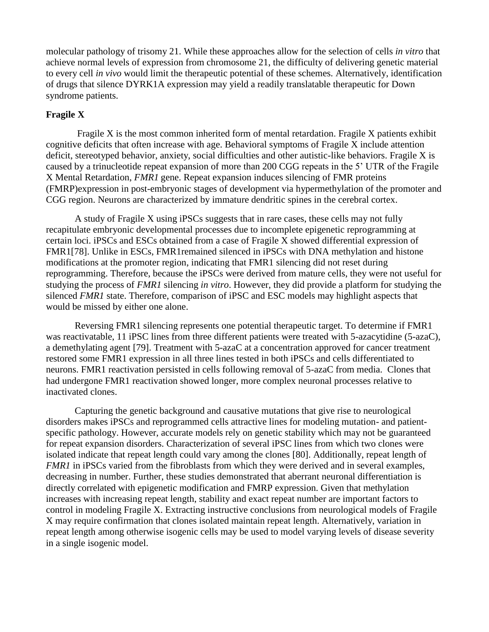molecular pathology of trisomy 21. While these approaches allow for the selection of cells *in vitro* that achieve normal levels of expression from chromosome 21, the difficulty of delivering genetic material to every cell *in vivo* would limit the therapeutic potential of these schemes. Alternatively, identification of drugs that silence DYRK1A expression may yield a readily translatable therapeutic for Down syndrome patients.

## **Fragile X**

Fragile X is the most common inherited form of mental retardation. Fragile X patients exhibit cognitive deficits that often increase with age. Behavioral symptoms of Fragile X include attention deficit, stereotyped behavior, anxiety, social difficulties and other autistic-like behaviors. Fragile X is caused by a trinucleotide repeat expansion of more than 200 CGG repeats in the 5' UTR of the Fragile X Mental Retardation, *FMR1* gene. Repeat expansion induces silencing of FMR proteins (FMRP)expression in post-embryonic stages of development via hypermethylation of the promoter and CGG region. Neurons are characterized by immature dendritic spines in the cerebral cortex.

A study of Fragile X using iPSCs suggests that in rare cases, these cells may not fully recapitulate embryonic developmental processes due to incomplete epigenetic reprogramming at certain loci. iPSCs and ESCs obtained from a case of Fragile X showed differential expression of FMR1[\[78\]](#page-26-12). Unlike in ESCs, FMR1remained silenced in iPSCs with DNA methylation and histone modifications at the promoter region, indicating that FMR1 silencing did not reset during reprogramming. Therefore, because the iPSCs were derived from mature cells, they were not useful for studying the process of *FMR1* silencing *in vitro*. However, they did provide a platform for studying the silenced *FMR1* state. Therefore, comparison of iPSC and ESC models may highlight aspects that would be missed by either one alone.

Reversing FMR1 silencing represents one potential therapeutic target. To determine if FMR1 was reactivatable, 11 iPSC lines from three different patients were treated with 5-azacytidine (5-azaC), a demethylating agent [\[79\]](#page-26-13). Treatment with 5-azaC at a concentration approved for cancer treatment restored some FMR1 expression in all three lines tested in both iPSCs and cells differentiated to neurons. FMR1 reactivation persisted in cells following removal of 5-azaC from media. Clones that had undergone FMR1 reactivation showed longer, more complex neuronal processes relative to inactivated clones.

Capturing the genetic background and causative mutations that give rise to neurological disorders makes iPSCs and reprogrammed cells attractive lines for modeling mutation- and patientspecific pathology. However, accurate models rely on genetic stability which may not be guaranteed for repeat expansion disorders. Characterization of several iPSC lines from which two clones were isolated indicate that repeat length could vary among the clones [\[80\]](#page-26-14). Additionally, repeat length of *FMR1* in iPSCs varied from the fibroblasts from which they were derived and in several examples, decreasing in number. Further, these studies demonstrated that aberrant neuronal differentiation is directly correlated with epigenetic modification and FMRP expression. Given that methylation increases with increasing repeat length, stability and exact repeat number are important factors to control in modeling Fragile X. Extracting instructive conclusions from neurological models of Fragile X may require confirmation that clones isolated maintain repeat length. Alternatively, variation in repeat length among otherwise isogenic cells may be used to model varying levels of disease severity in a single isogenic model.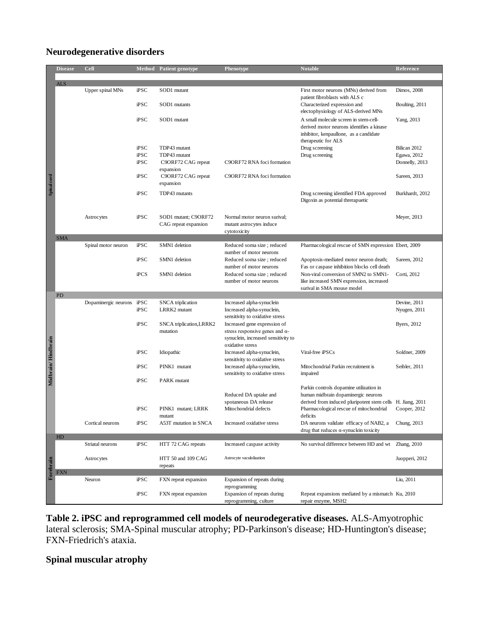# **Neurodegenerative disorders**

|                    | <b>Disease</b> | <b>Cell</b>               | <b>Method</b>        | Patient genotype                                   | <b>Phenotype</b>                                                                                                                  | <b>Notable</b>                                                                                                                                      | Reference                                     |
|--------------------|----------------|---------------------------|----------------------|----------------------------------------------------|-----------------------------------------------------------------------------------------------------------------------------------|-----------------------------------------------------------------------------------------------------------------------------------------------------|-----------------------------------------------|
|                    | <b>ALS</b>     |                           |                      |                                                    |                                                                                                                                   |                                                                                                                                                     |                                               |
| Spinal cord        |                | Upper spinal MNs          | iPSC                 | SOD1 mutant                                        |                                                                                                                                   | First motor neurons (MNs) derived from<br>patient fibroblasts with ALS c                                                                            | Dimos, 2008                                   |
|                    |                |                           | iPSC                 | SOD1 mutants                                       |                                                                                                                                   | Characterized expression and<br>electophysiology of ALS-derived MNs                                                                                 | Boulting, 2011                                |
|                    |                |                           | iPSC                 | SOD1 mutant                                        |                                                                                                                                   | A small molecule screen in stem-cell-<br>derived motor neurons identifies a kinase<br>inhibitor, kenpaullone, as a candidate<br>therapeutic for ALS | Yang, 2013                                    |
|                    |                |                           | iPSC<br>iPSC<br>iPSC | TDP43 mutant<br>TDP43 mutant<br>C9ORF72 CAG repeat | C9ORF72 RNA foci formation                                                                                                        | Drug screening<br>Drug screening                                                                                                                    | Bilican 2012<br>Egawa, 2012<br>Donnelly, 2013 |
|                    |                |                           | iPSC                 | expansion<br>C9ORF72 CAG repeat<br>expansion       | C9ORF72 RNA foci formation                                                                                                        |                                                                                                                                                     | Sareen, 2013                                  |
|                    |                |                           | iPSC                 | TDP43 mutants                                      |                                                                                                                                   | Drug screening identified FDA approved<br>Digoxin as potential threrapuetic                                                                         | Burkhardt, 2012                               |
|                    |                | Astrocytes                | iPSC                 | SOD1 mutant; C9ORF72<br>CAG repeat expansion       | Normal motor neuron surival;<br>mutant astrocytes induce<br>cytotoxicity                                                          |                                                                                                                                                     | Meyer, 2013                                   |
|                    | <b>SMA</b>     |                           |                      |                                                    |                                                                                                                                   |                                                                                                                                                     |                                               |
|                    |                | Spinal motor neuron       | iPSC                 | SMN1 deletion                                      | Reduced soma size; reduced<br>number of motor neurons                                                                             | Pharmacological rescue of SMN expression Ebert, 2009                                                                                                |                                               |
|                    |                |                           | iPSC                 | SMN1 deletion                                      | Reduced soma size; reduced<br>number of motor neurons                                                                             | Apoptosis-mediated motor neuron death;<br>Fas or caspase inhibition blocks cell death                                                               | Sareen, 2012                                  |
|                    |                |                           | iPCS                 | SMN1 deletion                                      | Reduced soma size; reduced<br>number of motor neurons                                                                             | Non-viral conversion of SMN2 to SMN1-<br>like increased SMN expression, increased                                                                   | Corti, 2012                                   |
|                    |                |                           |                      |                                                    |                                                                                                                                   | surival in SMA mouse model                                                                                                                          |                                               |
|                    | PD             | Dopaminergic neurons iPSC |                      | SNCA triplication                                  | Increased alpha-synuclein                                                                                                         |                                                                                                                                                     | Devine, 2011                                  |
|                    |                |                           | iPSC                 | LRRK2 mutant                                       | Increased alpha-synuclein,<br>sensitivity to oxidative stress                                                                     |                                                                                                                                                     | Nyugen, 2011                                  |
| Midbrain/Hindbrain |                |                           | iPSC                 | SNCA triplication, LRRK2<br>mutation               | Increased gene expression of<br>stress responsive genes and $\alpha$ -<br>synuclein, increased sensitivity to<br>oxidative stress |                                                                                                                                                     | Byers, 2012                                   |
|                    |                |                           | iPSC                 | Idiopathic                                         | Increased alpha-synuclein,<br>sensitivity to oxidative stress                                                                     | Viral-free iPSCs                                                                                                                                    | Soldner, 2009                                 |
|                    |                |                           | iPSC                 | PINK1 mutant                                       | Increased alpha-synuclein,<br>sensitivity to oxidative stress                                                                     | Mitochondrial Parkin recruitment is<br>impaired                                                                                                     | Seibler, 2011                                 |
|                    |                |                           | iPSC                 | PARK mutant                                        |                                                                                                                                   | Parkin controls dopamine utilization in                                                                                                             |                                               |
|                    |                |                           |                      |                                                    | Reduced DA uptake and<br>spotaneous DA release                                                                                    | human midbrain dopaminergic neurons<br>derived from induced pluripotent stem cells H. Jiang, 2011                                                   |                                               |
|                    |                |                           | iPSC                 | PINK1 mutant; LRRK<br>mutant                       | Mitochondrial defects                                                                                                             | Pharmacological rescue of mitochondrial<br>deficits                                                                                                 | Cooper, 2012                                  |
|                    |                | Cortical neurons          | iPSC                 | A53T mutation in SNCA                              | Increased oxidative stress                                                                                                        | DA neurons validate efficacy of NAB2, a<br>$drug$ that reduces $\alpha$ -synucle in toxicity                                                        | Chung, 2013                                   |
|                    | HD             | Striatal neurons          | iPSC                 | HTT 72 CAG repeats                                 | Increased caspase activity                                                                                                        | No survival difference between HD and wt                                                                                                            | Zhang, 2010                                   |
| Forebrain          |                | Astrocytes                |                      | HTT 50 and 109 CAG<br>repeats                      | Astrocyte vaculolization                                                                                                          |                                                                                                                                                     | Juopperi, 2012                                |
|                    | <b>FXN</b>     |                           |                      |                                                    |                                                                                                                                   |                                                                                                                                                     |                                               |
|                    |                | Neuron                    | iPSC                 | FXN repeat expansion                               | Expansion of repeats during<br>reprogramming                                                                                      |                                                                                                                                                     | Liu, 2011                                     |
|                    |                |                           | iPSC                 | FXN repeat expansion                               | Expansion of repeats during<br>reprogramming, culture                                                                             | Repeat expansions mediated by a mismatch Ku, 2010<br>repair enzyme, MSH2                                                                            |                                               |

**Table 2. iPSC and reprogrammed cell models of neurodegerative diseases.** ALS-Amyotrophic lateral sclerosis; SMA-Spinal muscular atrophy; PD-Parkinson's disease; HD-Huntington's disease; FXN-Friedrich's ataxia.

# **Spinal muscular atrophy**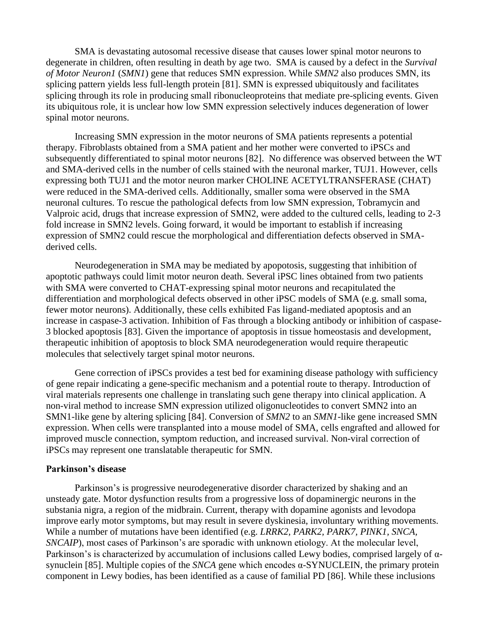SMA is devastating autosomal recessive disease that causes lower spinal motor neurons to degenerate in children, often resulting in death by age two. SMA is caused by a defect in the *Survival of Motor Neuron1* (*SMN1*) gene that reduces SMN expression. While *SMN2* also produces SMN, its splicing pattern yields less full-length protein [\[81\]](#page-26-15). SMN is expressed ubiquitously and facilitates splicing through its role in producing small ribonucleoproteins that mediate pre-splicing events. Given its ubiquitous role, it is unclear how low SMN expression selectively induces degeneration of lower spinal motor neurons.

Increasing SMN expression in the motor neurons of SMA patients represents a potential therapy. Fibroblasts obtained from a SMA patient and her mother were converted to iPSCs and subsequently differentiated to spinal motor neurons [\[82\]](#page-26-16). No difference was observed between the WT and SMA-derived cells in the number of cells stained with the neuronal marker, TUJ1. However, cells expressing both TUJ1 and the motor neuron marker CHOLINE ACETYLTRANSFERASE (CHAT) were reduced in the SMA-derived cells. Additionally, smaller soma were observed in the SMA neuronal cultures. To rescue the pathological defects from low SMN expression, Tobramycin and Valproic acid, drugs that increase expression of SMN2, were added to the cultured cells, leading to 2-3 fold increase in SMN2 levels. Going forward, it would be important to establish if increasing expression of SMN2 could rescue the morphological and differentiation defects observed in SMAderived cells.

Neurodegeneration in SMA may be mediated by apopotosis, suggesting that inhibition of apoptotic pathways could limit motor neuron death. Several iPSC lines obtained from two patients with SMA were converted to CHAT-expressing spinal motor neurons and recapitulated the differentiation and morphological defects observed in other iPSC models of SMA (e.g. small soma, fewer motor neurons). Additionally, these cells exhibited Fas ligand-mediated apoptosis and an increase in caspase-3 activation. Inhibition of Fas through a blocking antibody or inhibition of caspase-3 blocked apoptosis [\[83\]](#page-26-17). Given the importance of apoptosis in tissue homeostasis and development, therapeutic inhibition of apoptosis to block SMA neurodegeneration would require therapeutic molecules that selectively target spinal motor neurons.

Gene correction of iPSCs provides a test bed for examining disease pathology with sufficiency of gene repair indicating a gene-specific mechanism and a potential route to therapy. Introduction of viral materials represents one challenge in translating such gene therapy into clinical application. A non-viral method to increase SMN expression utilized oligonucleotides to convert SMN2 into an SMN1-like gene by altering splicing [\[84\]](#page-27-0). Conversion of *SMN2* to an *SMN1*-like gene increased SMN expression. When cells were transplanted into a mouse model of SMA, cells engrafted and allowed for improved muscle connection, symptom reduction, and increased survival. Non-viral correction of iPSCs may represent one translatable therapeutic for SMN.

#### **Parkinson's disease**

Parkinson's is progressive neurodegenerative disorder characterized by shaking and an unsteady gate. Motor dysfunction results from a progressive loss of dopaminergic neurons in the substania nigra, a region of the midbrain. Current, therapy with dopamine agonists and levodopa improve early motor symptoms, but may result in severe dyskinesia, involuntary writhing movements. While a number of mutations have been identified (e.g. *LRRK2, PARK2, PARK7, PINK1, SNCA, SNCAIP*), most cases of Parkinson's are sporadic with unknown etiology. At the molecular level, Parkinson's is characterized by accumulation of inclusions called Lewy bodies, comprised largely of αsynuclein [\[85\]](#page-27-1). Multiple copies of the *SNCA* gene which encodes α-SYNUCLEIN, the primary protein component in Lewy bodies, has been identified as a cause of familial PD [\[86\]](#page-27-2). While these inclusions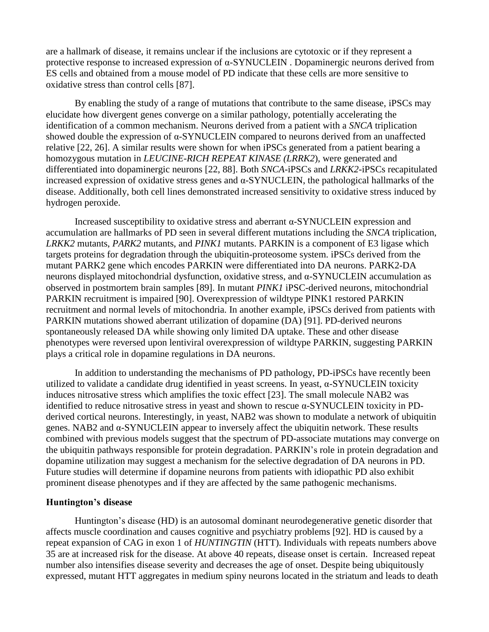are a hallmark of disease, it remains unclear if the inclusions are cytotoxic or if they represent a protective response to increased expression of α-SYNUCLEIN . Dopaminergic neurons derived from ES cells and obtained from a mouse model of PD indicate that these cells are more sensitive to oxidative stress than control cells [\[87\]](#page-27-3).

By enabling the study of a range of mutations that contribute to the same disease, iPSCs may elucidate how divergent genes converge on a similar pathology, potentially accelerating the identification of a common mechanism. Neurons derived from a patient with a *SNCA* triplication showed double the expression of α-SYNUCLEIN compared to neurons derived from an unaffected relative [\[22,](#page-23-9) [26\]](#page-23-10). A similar results were shown for when iPSCs generated from a patient bearing a homozygous mutation in *LEUCINE-RICH REPEAT KINASE (LRRK2*), were generated and differentiated into dopaminergic neurons [\[22,](#page-23-9) [88\]](#page-27-4). Both *SNCA*-iPSCs and *LRKK2*-iPSCs recapitulated increased expression of oxidative stress genes and  $\alpha$ -SYNUCLEIN, the pathological hallmarks of the disease. Additionally, both cell lines demonstrated increased sensitivity to oxidative stress induced by hydrogen peroxide.

Increased susceptibility to oxidative stress and aberrant  $\alpha$ -SYNUCLEIN expression and accumulation are hallmarks of PD seen in several different mutations including the *SNCA* triplication, *LRKK2* mutants, *PARK2* mutants, and *PINK1* mutants. PARKIN is a component of E3 ligase which targets proteins for degradation through the ubiquitin-proteosome system. iPSCs derived from the mutant PARK2 gene which encodes PARKIN were differentiated into DA neurons. PARK2-DA neurons displayed mitochondrial dysfunction, oxidative stress, and α-SYNUCLEIN accumulation as observed in postmortem brain samples [\[89\]](#page-27-5). In mutant *PINK1* iPSC-derived neurons, mitochondrial PARKIN recruitment is impaired [\[90\]](#page-27-6). Overexpression of wildtype PINK1 restored PARKIN recruitment and normal levels of mitochondria. In another example, iPSCs derived from patients with PARKIN mutations showed aberrant utilization of dopamine (DA) [\[91\]](#page-27-7). PD-derived neurons spontaneously released DA while showing only limited DA uptake. These and other disease phenotypes were reversed upon lentiviral overexpression of wildtype PARKIN, suggesting PARKIN plays a critical role in dopamine regulations in DA neurons.

In addition to understanding the mechanisms of PD pathology, PD-iPSCs have recently been utilized to validate a candidate drug identified in yeast screens. In yeast,  $\alpha$ -SYNUCLEIN toxicity induces nitrosative stress which amplifies the toxic effect [\[23\]](#page-23-11). The small molecule NAB2 was identified to reduce nitrosative stress in yeast and shown to rescue  $\alpha$ -SYNUCLEIN toxicity in PDderived cortical neurons. Interestingly, in yeast, NAB2 was shown to modulate a network of ubiquitin genes. NAB2 and  $\alpha$ -SYNUCLEIN appear to inversely affect the ubiquitin network. These results combined with previous models suggest that the spectrum of PD-associate mutations may converge on the ubiquitin pathways responsible for protein degradation. PARKIN's role in protein degradation and dopamine utilization may suggest a mechanism for the selective degradation of DA neurons in PD. Future studies will determine if dopamine neurons from patients with idiopathic PD also exhibit prominent disease phenotypes and if they are affected by the same pathogenic mechanisms.

#### **Huntington's disease**

Huntington's disease (HD) is an autosomal dominant neurodegenerative genetic disorder that affects muscle coordination and causes cognitive and psychiatry problems [\[92\]](#page-27-8). HD is caused by a repeat expansion of CAG in exon 1 of *HUNTINGTIN* (HTT). Individuals with repeats numbers above 35 are at increased risk for the disease. At above 40 repeats, disease onset is certain. Increased repeat number also intensifies disease severity and decreases the age of onset. Despite being ubiquitously expressed, mutant HTT aggregates in medium spiny neurons located in the striatum and leads to death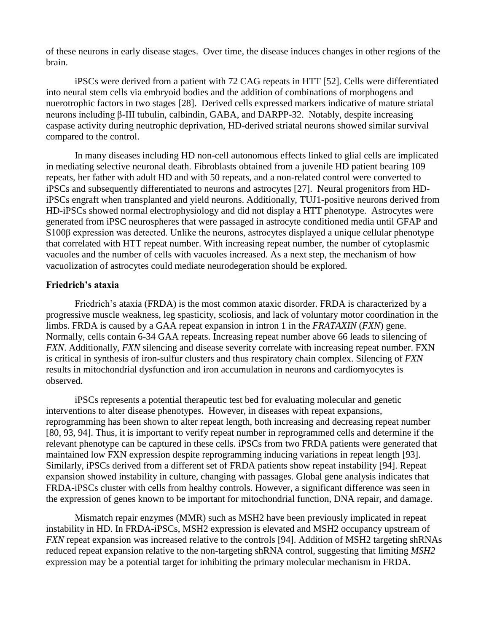of these neurons in early disease stages. Over time, the disease induces changes in other regions of the brain.

iPSCs were derived from a patient with 72 CAG repeats in HTT [\[52\]](#page-25-15). Cells were differentiated into neural stem cells via embryoid bodies and the addition of combinations of morphogens and nuerotrophic factors in two stages [\[28\]](#page-23-12). Derived cells expressed markers indicative of mature striatal neurons including β-III tubulin, calbindin, GABA, and DARPP-32. Notably, despite increasing caspase activity during neutrophic deprivation, HD-derived striatal neurons showed similar survival compared to the control.

In many diseases including HD non-cell autonomous effects linked to glial cells are implicated in mediating selective neuronal death. Fibroblasts obtained from a juvenile HD patient bearing 109 repeats, her father with adult HD and with 50 repeats, and a non-related control were converted to iPSCs and subsequently differentiated to neurons and astrocytes [\[27\]](#page-23-5). Neural progenitors from HDiPSCs engraft when transplanted and yield neurons. Additionally, TUJ1-positive neurons derived from HD-iPSCs showed normal electrophysiology and did not display a HTT phenotype. Astrocytes were generated from iPSC neurospheres that were passaged in astrocyte conditioned media until GFAP and S100β expression was detected. Unlike the neurons, astrocytes displayed a unique cellular phenotype that correlated with HTT repeat number. With increasing repeat number, the number of cytoplasmic vacuoles and the number of cells with vacuoles increased. As a next step, the mechanism of how vacuolization of astrocytes could mediate neurodegeration should be explored.

### **Friedrich's ataxia**

Friedrich's ataxia (FRDA) is the most common ataxic disorder. FRDA is characterized by a progressive muscle weakness, leg spasticity, scoliosis, and lack of voluntary motor coordination in the limbs. FRDA is caused by a GAA repeat expansion in intron 1 in the *FRATAXIN* (*FXN*) gene. Normally, cells contain 6-34 GAA repeats. Increasing repeat number above 66 leads to silencing of *FXN*. Additionally, *FXN* silencing and disease severity correlate with increasing repeat number. FXN is critical in synthesis of iron-sulfur clusters and thus respiratory chain complex. Silencing of *FXN* results in mitochondrial dysfunction and iron accumulation in neurons and cardiomyocytes is observed.

iPSCs represents a potential therapeutic test bed for evaluating molecular and genetic interventions to alter disease phenotypes. However, in diseases with repeat expansions, reprogramming has been shown to alter repeat length, both increasing and decreasing repeat number [\[80,](#page-26-14) [93,](#page-27-9) [94\]](#page-27-10). Thus, it is important to verify repeat number in reprogrammed cells and determine if the relevant phenotype can be captured in these cells. iPSCs from two FRDA patients were generated that maintained low FXN expression despite reprogramming inducing variations in repeat length [\[93\]](#page-27-9). Similarly, iPSCs derived from a different set of FRDA patients show repeat instability [\[94\]](#page-27-10). Repeat expansion showed instability in culture, changing with passages. Global gene analysis indicates that FRDA-iPSCs cluster with cells from healthy controls. However, a significant difference was seen in the expression of genes known to be important for mitochondrial function, DNA repair, and damage.

Mismatch repair enzymes (MMR) such as MSH2 have been previously implicated in repeat instability in HD. In FRDA-iPSCs, MSH2 expression is elevated and MSH2 occupancy upstream of *FXN* repeat expansion was increased relative to the controls [\[94\]](#page-27-10). Addition of MSH2 targeting shRNAs reduced repeat expansion relative to the non-targeting shRNA control, suggesting that limiting *MSH2* expression may be a potential target for inhibiting the primary molecular mechanism in FRDA.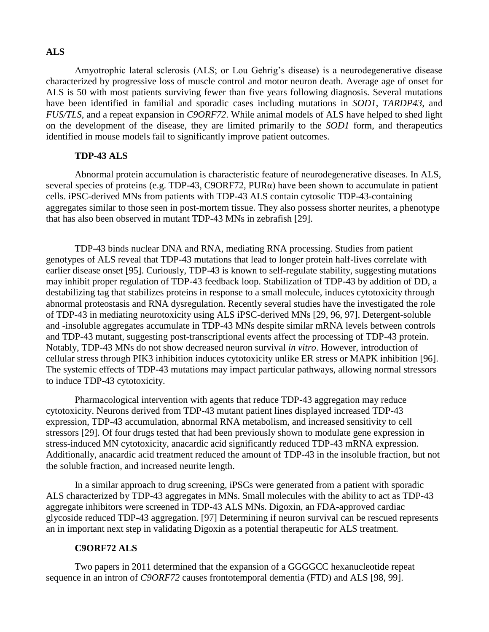## **ALS**

Amyotrophic lateral sclerosis (ALS; or Lou Gehrig's disease) is a neurodegenerative disease characterized by progressive loss of muscle control and motor neuron death. Average age of onset for ALS is 50 with most patients surviving fewer than five years following diagnosis. Several mutations have been identified in familial and sporadic cases including mutations in *SOD1*, *TARDP43*, and *FUS/TLS*, and a repeat expansion in *C9ORF72*. While animal models of ALS have helped to shed light on the development of the disease, they are limited primarily to the *SOD1* form, and therapeutics identified in mouse models fail to significantly improve patient outcomes.

# **TDP-43 ALS**

Abnormal protein accumulation is characteristic feature of neurodegenerative diseases. In ALS, several species of proteins (e.g. TDP-43, C9ORF72, PUR $\alpha$ ) have been shown to accumulate in patient cells. iPSC-derived MNs from patients with TDP-43 ALS contain cytosolic TDP-43-containing aggregates similar to those seen in post-mortem tissue. They also possess shorter neurites, a phenotype that has also been observed in mutant TDP-43 MNs in zebrafish [\[29\]](#page-23-7).

TDP-43 binds nuclear DNA and RNA, mediating RNA processing. Studies from patient genotypes of ALS reveal that TDP-43 mutations that lead to longer protein half-lives correlate with earlier disease onset [\[95\]](#page-27-11). Curiously, TDP-43 is known to self-regulate stability, suggesting mutations may inhibit proper regulation of TDP-43 feedback loop. Stabilization of TDP-43 by addition of DD, a destabilizing tag that stabilizes proteins in response to a small molecule, induces cytotoxicity through abnormal proteostasis and RNA dysregulation. Recently several studies have the investigated the role of TDP-43 in mediating neurotoxicity using ALS iPSC-derived MNs [\[29,](#page-23-7) [96,](#page-27-12) [97\]](#page-27-13). Detergent-soluble and -insoluble aggregates accumulate in TDP-43 MNs despite similar mRNA levels between controls and TDP-43 mutant, suggesting post-transcriptional events affect the processing of TDP-43 protein. Notably, TDP-43 MNs do not show decreased neuron survival *in vitro*. However, introduction of cellular stress through PIK3 inhibition induces cytotoxicity unlike ER stress or MAPK inhibition [\[96\]](#page-27-12). The systemic effects of TDP-43 mutations may impact particular pathways, allowing normal stressors to induce TDP-43 cytotoxicity.

Pharmacological intervention with agents that reduce TDP-43 aggregation may reduce cytotoxicity. Neurons derived from TDP-43 mutant patient lines displayed increased TDP-43 expression, TDP-43 accumulation, abnormal RNA metabolism, and increased sensitivity to cell stressors [\[29\]](#page-23-7). Of four drugs tested that had been previously shown to modulate gene expression in stress-induced MN cytotoxicity, anacardic acid significantly reduced TDP-43 mRNA expression. Additionally, anacardic acid treatment reduced the amount of TDP-43 in the insoluble fraction, but not the soluble fraction, and increased neurite length.

In a similar approach to drug screening, iPSCs were generated from a patient with sporadic ALS characterized by TDP-43 aggregates in MNs. Small molecules with the ability to act as TDP-43 aggregate inhibitors were screened in TDP-43 ALS MNs. Digoxin, an FDA-approved cardiac glycoside reduced TDP-43 aggregation. [\[97\]](#page-27-13) Determining if neuron survival can be rescued represents an in important next step in validating Digoxin as a potential therapeutic for ALS treatment.

#### **C9ORF72 ALS**

Two papers in 2011 determined that the expansion of a GGGGCC hexanucleotide repeat sequence in an intron of *C9ORF72* causes frontotemporal dementia (FTD) and ALS [\[98,](#page-27-14) [99\]](#page-28-0).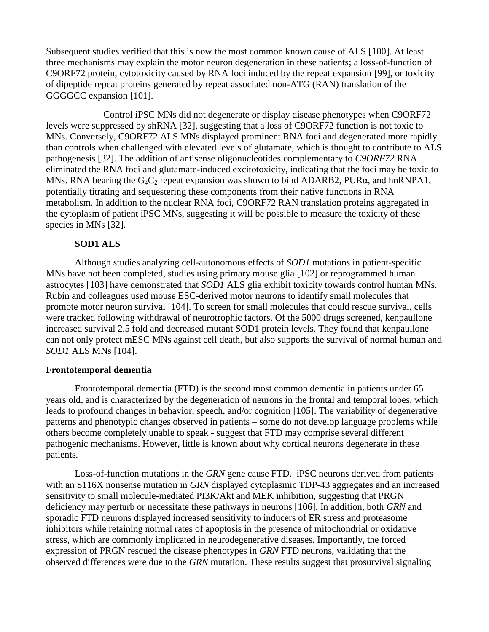Subsequent studies verified that this is now the most common known cause of ALS [\[100\]](#page-28-1). At least three mechanisms may explain the motor neuron degeneration in these patients; a loss-of-function of C9ORF72 protein, cytotoxicity caused by RNA foci induced by the repeat expansion [\[99\]](#page-28-0), or toxicity of dipeptide repeat proteins generated by repeat associated non-ATG (RAN) translation of the GGGGCC expansion [\[101\]](#page-28-2).

Control iPSC MNs did not degenerate or display disease phenotypes when C9ORF72 levels were suppressed by shRNA [\[32\]](#page-24-0), suggesting that a loss of C9ORF72 function is not toxic to MNs. Conversely, C9ORF72 ALS MNs displayed prominent RNA foci and degenerated more rapidly than controls when challenged with elevated levels of glutamate, which is thought to contribute to ALS pathogenesis [\[32\]](#page-24-0). The addition of antisense oligonucleotides complementary to *C9ORF72* RNA eliminated the RNA foci and glutamate-induced excitotoxicity, indicating that the foci may be toxic to MNs. RNA bearing the  $G_4C_2$  repeat expansion was shown to bind ADARB2, PUR $\alpha$ , and hnRNPA1, potentially titrating and sequestering these components from their native functions in RNA metabolism. In addition to the nuclear RNA foci, C9ORF72 RAN translation proteins aggregated in the cytoplasm of patient iPSC MNs, suggesting it will be possible to measure the toxicity of these species in MNs [\[32\]](#page-24-0).

# **SOD1 ALS**

Although studies analyzing cell-autonomous effects of *SOD1* mutations in patient-specific MNs have not been completed, studies using primary mouse glia [\[102\]](#page-28-3) or reprogrammed human astrocytes [\[103\]](#page-28-4) have demonstrated that *SOD1* ALS glia exhibit toxicity towards control human MNs. Rubin and colleagues used mouse ESC-derived motor neurons to identify small molecules that promote motor neuron survival [\[104\]](#page-28-5). To screen for small molecules that could rescue survival, cells were tracked following withdrawal of neurotrophic factors. Of the 5000 drugs screened, kenpaullone increased survival 2.5 fold and decreased mutant SOD1 protein levels. They found that kenpaullone can not only protect mESC MNs against cell death, but also supports the survival of normal human and *SOD1* ALS MNs [\[104\]](#page-28-5).

#### **Frontotemporal dementia**

Frontotemporal dementia (FTD) is the second most common dementia in patients under 65 years old, and is characterized by the degeneration of neurons in the frontal and temporal lobes, which leads to profound changes in behavior, speech, and/or cognition [\[105\]](#page-28-6). The variability of degenerative patterns and phenotypic changes observed in patients – some do not develop language problems while others become completely unable to speak - suggest that FTD may comprise several different pathogenic mechanisms. However, little is known about why cortical neurons degenerate in these patients.

Loss-of-function mutations in the *GRN* gene cause FTD. iPSC neurons derived from patients with an S116X nonsense mutation in *GRN* displayed cytoplasmic TDP-43 aggregates and an increased sensitivity to small molecule-mediated PI3K/Akt and MEK inhibition, suggesting that PRGN deficiency may perturb or necessitate these pathways in neurons [\[106\]](#page-28-7). In addition, both *GRN* and sporadic FTD neurons displayed increased sensitivity to inducers of ER stress and proteasome inhibitors while retaining normal rates of apoptosis in the presence of mitochondrial or oxidative stress, which are commonly implicated in neurodegenerative diseases. Importantly, the forced expression of PRGN rescued the disease phenotypes in *GRN* FTD neurons, validating that the observed differences were due to the *GRN* mutation. These results suggest that prosurvival signaling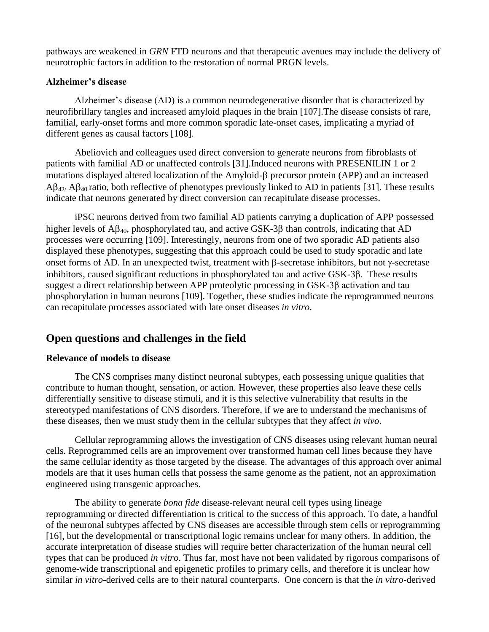pathways are weakened in *GRN* FTD neurons and that therapeutic avenues may include the delivery of neurotrophic factors in addition to the restoration of normal PRGN levels.

# **Alzheimer's disease**

Alzheimer's disease (AD) is a common neurodegenerative disorder that is characterized by neurofibrillary tangles and increased amyloid plaques in the brain [\[107\]](#page-28-8).The disease consists of rare, familial, early-onset forms and more common sporadic late-onset cases, implicating a myriad of different genes as causal factors [\[108\]](#page-28-9).

Abeliovich and colleagues used direct conversion to generate neurons from fibroblasts of patients with familial AD or unaffected controls [\[31\]](#page-23-3).Induced neurons with PRESENILIN 1 or 2 mutations displayed altered localization of the Amyloid- $\beta$  precursor protein (APP) and an increased  $\text{AB}_{42}/\text{AB}_{40}$  ratio, both reflective of phenotypes previously linked to AD in patients [\[31\]](#page-23-3). These results indicate that neurons generated by direct conversion can recapitulate disease processes.

iPSC neurons derived from two familial AD patients carrying a duplication of APP possessed higher levels of  $\text{AB}_{40}$ , phosphorylated tau, and active GSK-3 $\beta$  than controls, indicating that AD processes were occurring [\[109\]](#page-28-10). Interestingly, neurons from one of two sporadic AD patients also displayed these phenotypes, suggesting that this approach could be used to study sporadic and late onset forms of AD. In an unexpected twist, treatment with  $\beta$ -secretase inhibitors, but not  $\gamma$ -secretase inhibitors, caused significant reductions in phosphorylated tau and active GSK-3B. These results suggest a direct relationship between APP proteolytic processing in GSK-3β activation and tau phosphorylation in human neurons [\[109\]](#page-28-10). Together, these studies indicate the reprogrammed neurons can recapitulate processes associated with late onset diseases *in vitro*.

# **Open questions and challenges in the field**

# **Relevance of models to disease**

The CNS comprises many distinct neuronal subtypes, each possessing unique qualities that contribute to human thought, sensation, or action. However, these properties also leave these cells differentially sensitive to disease stimuli, and it is this selective vulnerability that results in the stereotyped manifestations of CNS disorders. Therefore, if we are to understand the mechanisms of these diseases, then we must study them in the cellular subtypes that they affect *in vivo*.

Cellular reprogramming allows the investigation of CNS diseases using relevant human neural cells. Reprogrammed cells are an improvement over transformed human cell lines because they have the same cellular identity as those targeted by the disease. The advantages of this approach over animal models are that it uses human cells that possess the same genome as the patient, not an approximation engineered using transgenic approaches.

The ability to generate *bona fide* disease-relevant neural cell types using lineage reprogramming or directed differentiation is critical to the success of this approach. To date, a handful of the neuronal subtypes affected by CNS diseases are accessible through stem cells or reprogramming [\[16\]](#page-23-0), but the developmental or transcriptional logic remains unclear for many others. In addition, the accurate interpretation of disease studies will require better characterization of the human neural cell types that can be produced *in vitro*. Thus far, most have not been validated by rigorous comparisons of genome-wide transcriptional and epigenetic profiles to primary cells, and therefore it is unclear how similar *in vitro*-derived cells are to their natural counterparts. One concern is that the *in vitro-*derived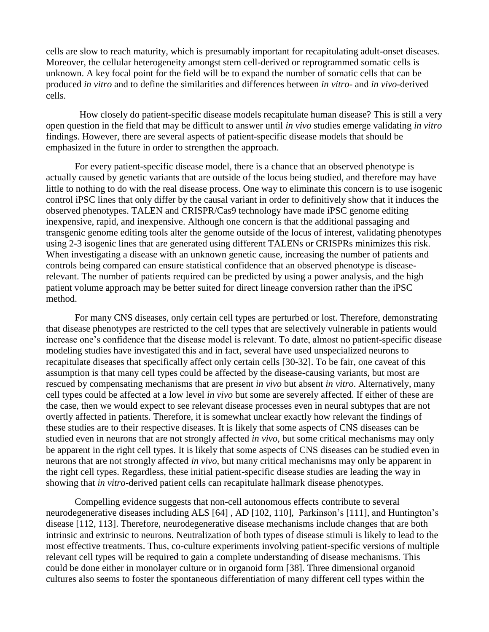cells are slow to reach maturity, which is presumably important for recapitulating adult-onset diseases. Moreover, the cellular heterogeneity amongst stem cell-derived or reprogrammed somatic cells is unknown. A key focal point for the field will be to expand the number of somatic cells that can be produced *in vitro* and to define the similarities and differences between *in vitro-* and *in vivo*-derived cells.

How closely do patient-specific disease models recapitulate human disease? This is still a very open question in the field that may be difficult to answer until *in vivo* studies emerge validating *in vitro* findings. However, there are several aspects of patient-specific disease models that should be emphasized in the future in order to strengthen the approach.

For every patient-specific disease model, there is a chance that an observed phenotype is actually caused by genetic variants that are outside of the locus being studied, and therefore may have little to nothing to do with the real disease process. One way to eliminate this concern is to use isogenic control iPSC lines that only differ by the causal variant in order to definitively show that it induces the observed phenotypes. TALEN and CRISPR/Cas9 technology have made iPSC genome editing inexpensive, rapid, and inexpensive. Although one concern is that the additional passaging and transgenic genome editing tools alter the genome outside of the locus of interest, validating phenotypes using 2-3 isogenic lines that are generated using different TALENs or CRISPRs minimizes this risk. When investigating a disease with an unknown genetic cause, increasing the number of patients and controls being compared can ensure statistical confidence that an observed phenotype is diseaserelevant. The number of patients required can be predicted by using a power analysis, and the high patient volume approach may be better suited for direct lineage conversion rather than the iPSC method.

For many CNS diseases, only certain cell types are perturbed or lost. Therefore, demonstrating that disease phenotypes are restricted to the cell types that are selectively vulnerable in patients would increase one's confidence that the disease model is relevant. To date, almost no patient-specific disease modeling studies have investigated this and in fact, several have used unspecialized neurons to recapitulate diseases that specifically affect only certain cells [\[30-32\]](#page-23-8). To be fair, one caveat of this assumption is that many cell types could be affected by the disease-causing variants, but most are rescued by compensating mechanisms that are present *in vivo* but absent *in vitro*. Alternatively, many cell types could be affected at a low level *in vivo* but some are severely affected. If either of these are the case, then we would expect to see relevant disease processes even in neural subtypes that are not overtly affected in patients. Therefore, it is somewhat unclear exactly how relevant the findings of these studies are to their respective diseases. It is likely that some aspects of CNS diseases can be studied even in neurons that are not strongly affected *in vivo*, but some critical mechanisms may only be apparent in the right cell types. It is likely that some aspects of CNS diseases can be studied even in neurons that are not strongly affected *in vivo*, but many critical mechanisms may only be apparent in the right cell types. Regardless, these initial patient-specific disease studies are leading the way in showing that *in vitro*-derived patient cells can recapitulate hallmark disease phenotypes.

Compelling evidence suggests that non-cell autonomous effects contribute to several neurodegenerative diseases including ALS [\[64\]](#page-25-13) , AD [\[102,](#page-28-3) [110\]](#page-28-11), Parkinson's [\[111\]](#page-28-12), and Huntington's disease [\[112,](#page-28-13) [113\]](#page-28-14). Therefore, neurodegenerative disease mechanisms include changes that are both intrinsic and extrinsic to neurons. Neutralization of both types of disease stimuli is likely to lead to the most effective treatments. Thus, co-culture experiments involving patient-specific versions of multiple relevant cell types will be required to gain a complete understanding of disease mechanisms. This could be done either in monolayer culture or in organoid form [\[38\]](#page-24-4). Three dimensional organoid cultures also seems to foster the spontaneous differentiation of many different cell types within the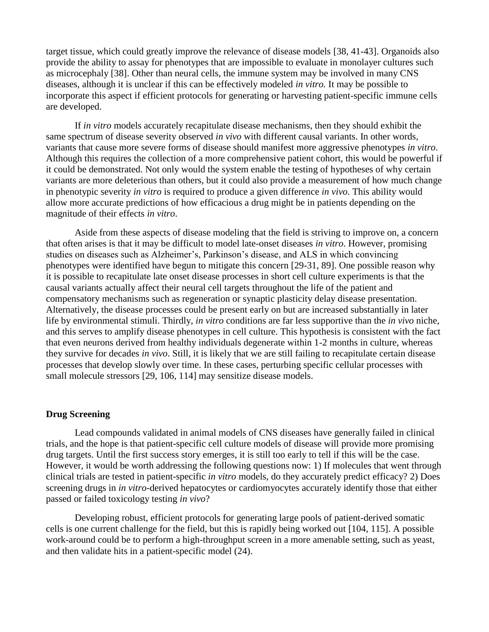target tissue, which could greatly improve the relevance of disease models [\[38,](#page-24-4) [41-43\]](#page-24-9). Organoids also provide the ability to assay for phenotypes that are impossible to evaluate in monolayer cultures such as microcephaly [\[38\]](#page-24-4). Other than neural cells, the immune system may be involved in many CNS diseases, although it is unclear if this can be effectively modeled *in vitro.* It may be possible to incorporate this aspect if efficient protocols for generating or harvesting patient-specific immune cells are developed.

If *in vitro* models accurately recapitulate disease mechanisms, then they should exhibit the same spectrum of disease severity observed *in vivo* with different causal variants. In other words, variants that cause more severe forms of disease should manifest more aggressive phenotypes *in vitro*. Although this requires the collection of a more comprehensive patient cohort, this would be powerful if it could be demonstrated. Not only would the system enable the testing of hypotheses of why certain variants are more deleterious than others, but it could also provide a measurement of how much change in phenotypic severity *in vitro* is required to produce a given difference *in vivo*. This ability would allow more accurate predictions of how efficacious a drug might be in patients depending on the magnitude of their effects *in vitro*.

Aside from these aspects of disease modeling that the field is striving to improve on, a concern that often arises is that it may be difficult to model late-onset diseases *in vitro*. However, promising studies on diseases such as Alzheimer's, Parkinson's disease, and ALS in which convincing phenotypes were identified have begun to mitigate this concern [\[29-31,](#page-23-7) [89\]](#page-27-5). One possible reason why it is possible to recapitulate late onset disease processes in short cell culture experiments is that the causal variants actually affect their neural cell targets throughout the life of the patient and compensatory mechanisms such as regeneration or synaptic plasticity delay disease presentation. Alternatively, the disease processes could be present early on but are increased substantially in later life by environmental stimuli. Thirdly, *in vitro* conditions are far less supportive than the *in vivo* niche, and this serves to amplify disease phenotypes in cell culture. This hypothesis is consistent with the fact that even neurons derived from healthy individuals degenerate within 1-2 months in culture, whereas they survive for decades *in vivo*. Still, it is likely that we are still failing to recapitulate certain disease processes that develop slowly over time. In these cases, perturbing specific cellular processes with small molecule stressors [\[29,](#page-23-7) [106,](#page-28-7) [114\]](#page-29-0) may sensitize disease models.

#### **Drug Screening**

Lead compounds validated in animal models of CNS diseases have generally failed in clinical trials, and the hope is that patient-specific cell culture models of disease will provide more promising drug targets. Until the first success story emerges, it is still too early to tell if this will be the case. However, it would be worth addressing the following questions now: 1) If molecules that went through clinical trials are tested in patient-specific *in vitro* models, do they accurately predict efficacy? 2) Does screening drugs in *in vitro*-derived hepatocytes or cardiomyocytes accurately identify those that either passed or failed toxicology testing *in vivo*?

Developing robust, efficient protocols for generating large pools of patient-derived somatic cells is one current challenge for the field, but this is rapidly being worked out [\[104,](#page-28-5) [115\]](#page-29-1). A possible work-around could be to perform a high-throughput screen in a more amenable setting, such as yeast, and then validate hits in a patient-specific model (24).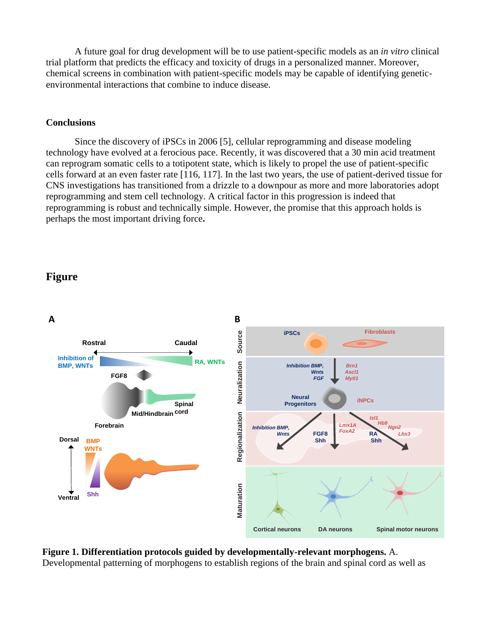A future goal for drug development will be to use patient-specific models as an *in vitro* clinical trial platform that predicts the efficacy and toxicity of drugs in a personalized manner. Moreover, chemical screens in combination with patient-specific models may be capable of identifying geneticenvironmental interactions that combine to induce disease.

#### **Conclusions**

Since the discovery of iPSCs in 2006 [\[5\]](#page-22-1), cellular reprogramming and disease modeling technology have evolved at a ferocious pace. Recently, it was discovered that a 30 min acid treatment can reprogram somatic cells to a totipotent state, which is likely to propel the use of patient-specific cells forward at an even faster rate [\[116,](#page-29-2) [117\]](#page-29-3). In the last two years, the use of patient-derived tissue for CNS investigations has transitioned from a drizzle to a downpour as more and more laboratories adopt reprogramming and stem cell technology. A critical factor in this progression is indeed that reprogramming is robust and technically simple. However, the promise that this approach holds is perhaps the most important driving force**.**





# **Figure 1. Differentiation protocols guided by developmentally-relevant morphogens.** A.

Developmental patterning of morphogens to establish regions of the brain and spinal cord as well as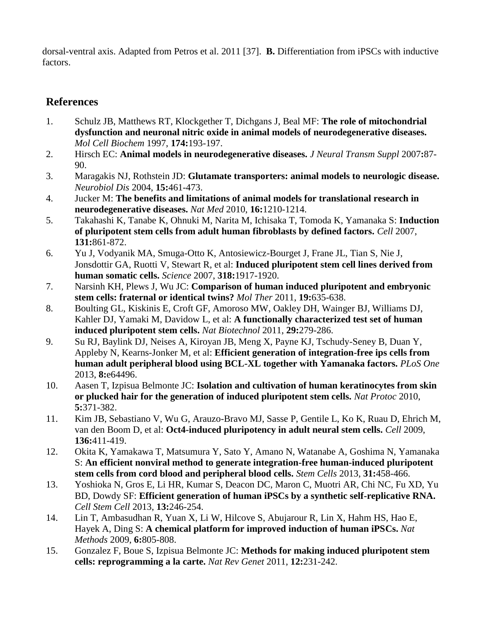dorsal-ventral axis. Adapted from Petros et al. 2011 [\[37\]](#page-24-3). **B.** Differentiation from iPSCs with inductive factors.

# **References**

- <span id="page-22-0"></span>1. Schulz JB, Matthews RT, Klockgether T, Dichgans J, Beal MF: **The role of mitochondrial dysfunction and neuronal nitric oxide in animal models of neurodegenerative diseases.** *Mol Cell Biochem* 1997, **174:**193-197.
- 2. Hirsch EC: **Animal models in neurodegenerative diseases.** *J Neural Transm Suppl* 2007**:**87- 90.
- 3. Maragakis NJ, Rothstein JD: **Glutamate transporters: animal models to neurologic disease.** *Neurobiol Dis* 2004, **15:**461-473.
- 4. Jucker M: **The benefits and limitations of animal models for translational research in neurodegenerative diseases.** *Nat Med* 2010, **16:**1210-1214.
- <span id="page-22-1"></span>5. Takahashi K, Tanabe K, Ohnuki M, Narita M, Ichisaka T, Tomoda K, Yamanaka S: **Induction of pluripotent stem cells from adult human fibroblasts by defined factors.** *Cell* 2007, **131:**861-872.
- <span id="page-22-2"></span>6. Yu J, Vodyanik MA, Smuga-Otto K, Antosiewicz-Bourget J, Frane JL, Tian S, Nie J, Jonsdottir GA, Ruotti V, Stewart R, et al: **Induced pluripotent stem cell lines derived from human somatic cells.** *Science* 2007, **318:**1917-1920.
- <span id="page-22-3"></span>7. Narsinh KH, Plews J, Wu JC: **Comparison of human induced pluripotent and embryonic stem cells: fraternal or identical twins?** *Mol Ther* 2011, **19:**635-638.
- <span id="page-22-4"></span>8. Boulting GL, Kiskinis E, Croft GF, Amoroso MW, Oakley DH, Wainger BJ, Williams DJ, Kahler DJ, Yamaki M, Davidow L, et al: **A functionally characterized test set of human induced pluripotent stem cells.** *Nat Biotechnol* 2011, **29:**279-286.
- <span id="page-22-5"></span>9. Su RJ, Baylink DJ, Neises A, Kiroyan JB, Meng X, Payne KJ, Tschudy-Seney B, Duan Y, Appleby N, Kearns-Jonker M, et al: **Efficient generation of integration-free ips cells from human adult peripheral blood using BCL-XL together with Yamanaka factors.** *PLoS One*  2013, **8:**e64496.
- <span id="page-22-6"></span>10. Aasen T, Izpisua Belmonte JC: **Isolation and cultivation of human keratinocytes from skin or plucked hair for the generation of induced pluripotent stem cells.** *Nat Protoc* 2010, **5:**371-382.
- <span id="page-22-7"></span>11. Kim JB, Sebastiano V, Wu G, Arauzo-Bravo MJ, Sasse P, Gentile L, Ko K, Ruau D, Ehrich M, van den Boom D, et al: **Oct4-induced pluripotency in adult neural stem cells.** *Cell* 2009, **136:**411-419.
- <span id="page-22-8"></span>12. Okita K, Yamakawa T, Matsumura Y, Sato Y, Amano N, Watanabe A, Goshima N, Yamanaka S: **An efficient nonviral method to generate integration-free human-induced pluripotent stem cells from cord blood and peripheral blood cells.** *Stem Cells* 2013, **31:**458-466.
- 13. Yoshioka N, Gros E, Li HR, Kumar S, Deacon DC, Maron C, Muotri AR, Chi NC, Fu XD, Yu BD, Dowdy SF: **Efficient generation of human iPSCs by a synthetic self-replicative RNA.** *Cell Stem Cell* 2013, **13:**246-254.
- 14. Lin T, Ambasudhan R, Yuan X, Li W, Hilcove S, Abujarour R, Lin X, Hahm HS, Hao E, Hayek A, Ding S: **A chemical platform for improved induction of human iPSCs.** *Nat Methods* 2009, **6:**805-808.
- 15. Gonzalez F, Boue S, Izpisua Belmonte JC: **Methods for making induced pluripotent stem cells: reprogramming a la carte.** *Nat Rev Genet* 2011, **12:**231-242.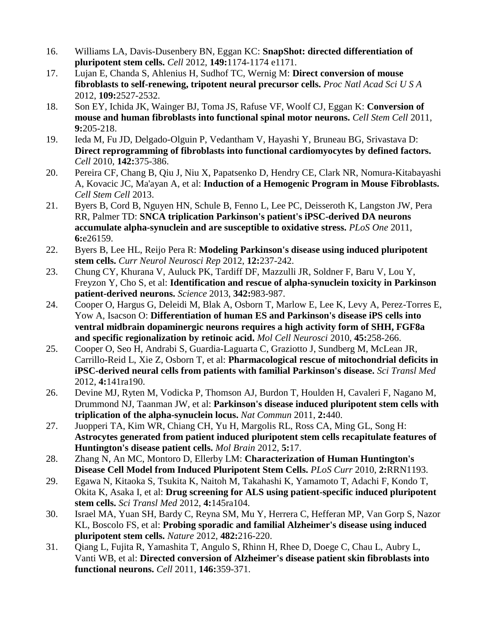- <span id="page-23-0"></span>16. Williams LA, Davis-Dusenbery BN, Eggan KC: **SnapShot: directed differentiation of pluripotent stem cells.** *Cell* 2012, **149:**1174-1174 e1171.
- <span id="page-23-1"></span>17. Lujan E, Chanda S, Ahlenius H, Sudhof TC, Wernig M: **Direct conversion of mouse fibroblasts to self-renewing, tripotent neural precursor cells.** *Proc Natl Acad Sci U S A*  2012, **109:**2527-2532.
- <span id="page-23-6"></span>18. Son EY, Ichida JK, Wainger BJ, Toma JS, Rafuse VF, Woolf CJ, Eggan K: **Conversion of mouse and human fibroblasts into functional spinal motor neurons.** *Cell Stem Cell* 2011, **9:**205-218.
- 19. Ieda M, Fu JD, Delgado-Olguin P, Vedantham V, Hayashi Y, Bruneau BG, Srivastava D: **Direct reprogramming of fibroblasts into functional cardiomyocytes by defined factors.** *Cell* 2010, **142:**375-386.
- 20. Pereira CF, Chang B, Qiu J, Niu X, Papatsenko D, Hendry CE, Clark NR, Nomura-Kitabayashi A, Kovacic JC, Ma'ayan A, et al: **Induction of a Hemogenic Program in Mouse Fibroblasts.** *Cell Stem Cell* 2013.
- <span id="page-23-2"></span>21. Byers B, Cord B, Nguyen HN, Schule B, Fenno L, Lee PC, Deisseroth K, Langston JW, Pera RR, Palmer TD: **SNCA triplication Parkinson's patient's iPSC-derived DA neurons accumulate alpha-synuclein and are susceptible to oxidative stress.** *PLoS One* 2011, **6:**e26159.
- <span id="page-23-9"></span>22. Byers B, Lee HL, Reijo Pera R: **Modeling Parkinson's disease using induced pluripotent stem cells.** *Curr Neurol Neurosci Rep* 2012, **12:**237-242.
- <span id="page-23-11"></span>23. Chung CY, Khurana V, Auluck PK, Tardiff DF, Mazzulli JR, Soldner F, Baru V, Lou Y, Freyzon Y, Cho S, et al: **Identification and rescue of alpha-synuclein toxicity in Parkinson patient-derived neurons.** *Science* 2013, **342:**983-987.
- <span id="page-23-4"></span>24. Cooper O, Hargus G, Deleidi M, Blak A, Osborn T, Marlow E, Lee K, Levy A, Perez-Torres E, Yow A, Isacson O: **Differentiation of human ES and Parkinson's disease iPS cells into ventral midbrain dopaminergic neurons requires a high activity form of SHH, FGF8a and specific regionalization by retinoic acid.** *Mol Cell Neurosci* 2010, **45:**258-266.
- 25. Cooper O, Seo H, Andrabi S, Guardia-Laguarta C, Graziotto J, Sundberg M, McLean JR, Carrillo-Reid L, Xie Z, Osborn T, et al: **Pharmacological rescue of mitochondrial deficits in iPSC-derived neural cells from patients with familial Parkinson's disease.** *Sci Transl Med*  2012, **4:**141ra190.
- <span id="page-23-10"></span>26. Devine MJ, Ryten M, Vodicka P, Thomson AJ, Burdon T, Houlden H, Cavaleri F, Nagano M, Drummond NJ, Taanman JW, et al: **Parkinson's disease induced pluripotent stem cells with triplication of the alpha-synuclein locus.** *Nat Commun* 2011, **2:**440.
- <span id="page-23-5"></span>27. Juopperi TA, Kim WR, Chiang CH, Yu H, Margolis RL, Ross CA, Ming GL, Song H: **Astrocytes generated from patient induced pluripotent stem cells recapitulate features of Huntington's disease patient cells.** *Mol Brain* 2012, **5:**17.
- <span id="page-23-12"></span>28. Zhang N, An MC, Montoro D, Ellerby LM: **Characterization of Human Huntington's Disease Cell Model from Induced Pluripotent Stem Cells.** *PLoS Curr* 2010, **2:**RRN1193.
- <span id="page-23-7"></span>29. Egawa N, Kitaoka S, Tsukita K, Naitoh M, Takahashi K, Yamamoto T, Adachi F, Kondo T, Okita K, Asaka I, et al: **Drug screening for ALS using patient-specific induced pluripotent stem cells.** *Sci Transl Med* 2012, **4:**145ra104.
- <span id="page-23-8"></span>30. Israel MA, Yuan SH, Bardy C, Reyna SM, Mu Y, Herrera C, Hefferan MP, Van Gorp S, Nazor KL, Boscolo FS, et al: **Probing sporadic and familial Alzheimer's disease using induced pluripotent stem cells.** *Nature* 2012, **482:**216-220.
- <span id="page-23-3"></span>31. Qiang L, Fujita R, Yamashita T, Angulo S, Rhinn H, Rhee D, Doege C, Chau L, Aubry L, Vanti WB, et al: **Directed conversion of Alzheimer's disease patient skin fibroblasts into functional neurons.** *Cell* 2011, **146:**359-371.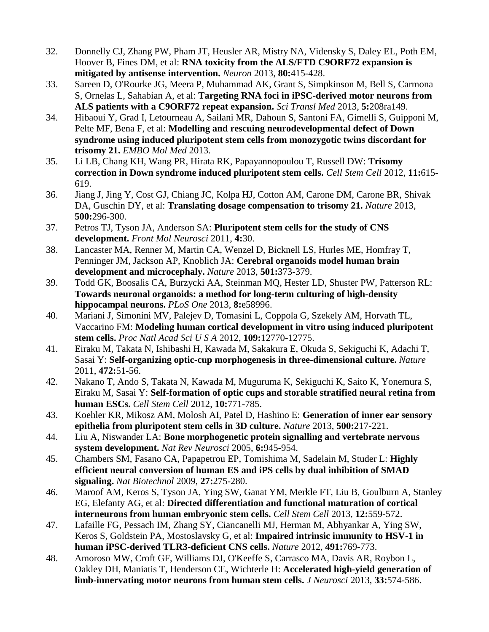- <span id="page-24-0"></span>32. Donnelly CJ, Zhang PW, Pham JT, Heusler AR, Mistry NA, Vidensky S, Daley EL, Poth EM, Hoover B, Fines DM, et al: **RNA toxicity from the ALS/FTD C9ORF72 expansion is mitigated by antisense intervention.** *Neuron* 2013, **80:**415-428.
- <span id="page-24-1"></span>33. Sareen D, O'Rourke JG, Meera P, Muhammad AK, Grant S, Simpkinson M, Bell S, Carmona S, Ornelas L, Sahabian A, et al: **Targeting RNA foci in iPSC-derived motor neurons from ALS patients with a C9ORF72 repeat expansion.** *Sci Transl Med* 2013, **5:**208ra149.
- <span id="page-24-2"></span>34. Hibaoui Y, Grad I, Letourneau A, Sailani MR, Dahoun S, Santoni FA, Gimelli S, Guipponi M, Pelte MF, Bena F, et al: **Modelling and rescuing neurodevelopmental defect of Down syndrome using induced pluripotent stem cells from monozygotic twins discordant for trisomy 21.** *EMBO Mol Med* 2013.
- <span id="page-24-13"></span>35. Li LB, Chang KH, Wang PR, Hirata RK, Papayannopoulou T, Russell DW: **Trisomy correction in Down syndrome induced pluripotent stem cells.** *Cell Stem Cell* 2012, **11:**615- 619.
- <span id="page-24-14"></span>36. Jiang J, Jing Y, Cost GJ, Chiang JC, Kolpa HJ, Cotton AM, Carone DM, Carone BR, Shivak DA, Guschin DY, et al: **Translating dosage compensation to trisomy 21.** *Nature* 2013, **500:**296-300.
- <span id="page-24-3"></span>37. Petros TJ, Tyson JA, Anderson SA: **Pluripotent stem cells for the study of CNS development.** *Front Mol Neurosci* 2011, **4:**30.
- <span id="page-24-4"></span>38. Lancaster MA, Renner M, Martin CA, Wenzel D, Bicknell LS, Hurles ME, Homfray T, Penninger JM, Jackson AP, Knoblich JA: **Cerebral organoids model human brain development and microcephaly.** *Nature* 2013, **501:**373-379.
- 39. Todd GK, Boosalis CA, Burzycki AA, Steinman MQ, Hester LD, Shuster PW, Patterson RL: **Towards neuronal organoids: a method for long-term culturing of high-density hippocampal neurons.** *PLoS One* 2013, **8:**e58996.
- <span id="page-24-12"></span>40. Mariani J, Simonini MV, Palejev D, Tomasini L, Coppola G, Szekely AM, Horvath TL, Vaccarino FM: **Modeling human cortical development in vitro using induced pluripotent stem cells.** *Proc Natl Acad Sci U S A* 2012, **109:**12770-12775.
- <span id="page-24-9"></span>41. Eiraku M, Takata N, Ishibashi H, Kawada M, Sakakura E, Okuda S, Sekiguchi K, Adachi T, Sasai Y: **Self-organizing optic-cup morphogenesis in three-dimensional culture.** *Nature*  2011, **472:**51-56.
- <span id="page-24-10"></span>42. Nakano T, Ando S, Takata N, Kawada M, Muguruma K, Sekiguchi K, Saito K, Yonemura S, Eiraku M, Sasai Y: **Self-formation of optic cups and storable stratified neural retina from human ESCs.** *Cell Stem Cell* 2012, **10:**771-785.
- <span id="page-24-11"></span>43. Koehler KR, Mikosz AM, Molosh AI, Patel D, Hashino E: **Generation of inner ear sensory epithelia from pluripotent stem cells in 3D culture.** *Nature* 2013, **500:**217-221.
- <span id="page-24-5"></span>44. Liu A, Niswander LA: **Bone morphogenetic protein signalling and vertebrate nervous system development.** *Nat Rev Neurosci* 2005, **6:**945-954.
- <span id="page-24-6"></span>45. Chambers SM, Fasano CA, Papapetrou EP, Tomishima M, Sadelain M, Studer L: **Highly efficient neural conversion of human ES and iPS cells by dual inhibition of SMAD signaling.** *Nat Biotechnol* 2009, **27:**275-280.
- <span id="page-24-7"></span>46. Maroof AM, Keros S, Tyson JA, Ying SW, Ganat YM, Merkle FT, Liu B, Goulburn A, Stanley EG, Elefanty AG, et al: **Directed differentiation and functional maturation of cortical interneurons from human embryonic stem cells.** *Cell Stem Cell* 2013, **12:**559-572.
- 47. Lafaille FG, Pessach IM, Zhang SY, Ciancanelli MJ, Herman M, Abhyankar A, Ying SW, Keros S, Goldstein PA, Mostoslavsky G, et al: **Impaired intrinsic immunity to HSV-1 in human iPSC-derived TLR3-deficient CNS cells.** *Nature* 2012, **491:**769-773.
- <span id="page-24-8"></span>48. Amoroso MW, Croft GF, Williams DJ, O'Keeffe S, Carrasco MA, Davis AR, Roybon L, Oakley DH, Maniatis T, Henderson CE, Wichterle H: **Accelerated high-yield generation of limb-innervating motor neurons from human stem cells.** *J Neurosci* 2013, **33:**574-586.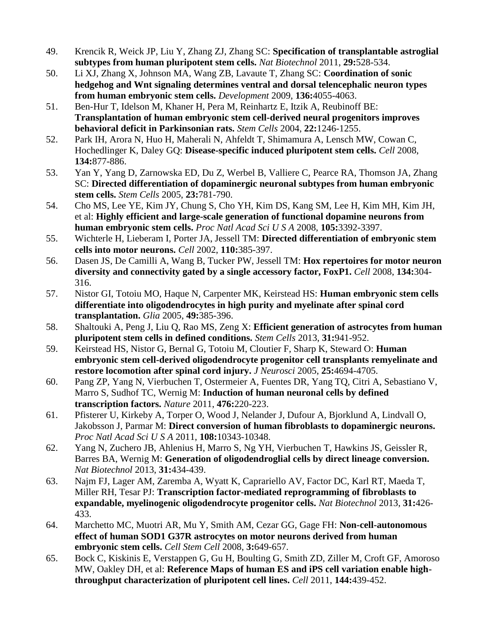- <span id="page-25-0"></span>49. Krencik R, Weick JP, Liu Y, Zhang ZJ, Zhang SC: **Specification of transplantable astroglial subtypes from human pluripotent stem cells.** *Nat Biotechnol* 2011, **29:**528-534.
- <span id="page-25-1"></span>50. Li XJ, Zhang X, Johnson MA, Wang ZB, Lavaute T, Zhang SC: **Coordination of sonic hedgehog and Wnt signaling determines ventral and dorsal telencephalic neuron types from human embryonic stem cells.** *Development* 2009, **136:**4055-4063.
- <span id="page-25-2"></span>51. Ben-Hur T, Idelson M, Khaner H, Pera M, Reinhartz E, Itzik A, Reubinoff BE: **Transplantation of human embryonic stem cell-derived neural progenitors improves behavioral deficit in Parkinsonian rats.** *Stem Cells* 2004, **22:**1246-1255.
- <span id="page-25-15"></span>52. Park IH, Arora N, Huo H, Maherali N, Ahfeldt T, Shimamura A, Lensch MW, Cowan C, Hochedlinger K, Daley GQ: **Disease-specific induced pluripotent stem cells.** *Cell* 2008, **134:**877-886.
- <span id="page-25-3"></span>53. Yan Y, Yang D, Zarnowska ED, Du Z, Werbel B, Valliere C, Pearce RA, Thomson JA, Zhang SC: **Directed differentiation of dopaminergic neuronal subtypes from human embryonic stem cells.** *Stem Cells* 2005, **23:**781-790.
- 54. Cho MS, Lee YE, Kim JY, Chung S, Cho YH, Kim DS, Kang SM, Lee H, Kim MH, Kim JH, et al: **Highly efficient and large-scale generation of functional dopamine neurons from human embryonic stem cells.** *Proc Natl Acad Sci U S A* 2008, **105:**3392-3397.
- <span id="page-25-4"></span>55. Wichterle H, Lieberam I, Porter JA, Jessell TM: **Directed differentiation of embryonic stem cells into motor neurons.** *Cell* 2002, **110:**385-397.
- <span id="page-25-5"></span>56. Dasen JS, De Camilli A, Wang B, Tucker PW, Jessell TM: **Hox repertoires for motor neuron diversity and connectivity gated by a single accessory factor, FoxP1.** *Cell* 2008, **134:**304- 316.
- <span id="page-25-6"></span>57. Nistor GI, Totoiu MO, Haque N, Carpenter MK, Keirstead HS: **Human embryonic stem cells differentiate into oligodendrocytes in high purity and myelinate after spinal cord transplantation.** *Glia* 2005, **49:**385-396.
- <span id="page-25-7"></span>58. Shaltouki A, Peng J, Liu Q, Rao MS, Zeng X: **Efficient generation of astrocytes from human pluripotent stem cells in defined conditions.** *Stem Cells* 2013, **31:**941-952.
- <span id="page-25-8"></span>59. Keirstead HS, Nistor G, Bernal G, Totoiu M, Cloutier F, Sharp K, Steward O: **Human embryonic stem cell-derived oligodendrocyte progenitor cell transplants remyelinate and restore locomotion after spinal cord injury.** *J Neurosci* 2005, **25:**4694-4705.
- <span id="page-25-9"></span>60. Pang ZP, Yang N, Vierbuchen T, Ostermeier A, Fuentes DR, Yang TQ, Citri A, Sebastiano V, Marro S, Sudhof TC, Wernig M: **Induction of human neuronal cells by defined transcription factors.** *Nature* 2011, **476:**220-223.
- <span id="page-25-10"></span>61. Pfisterer U, Kirkeby A, Torper O, Wood J, Nelander J, Dufour A, Bjorklund A, Lindvall O, Jakobsson J, Parmar M: **Direct conversion of human fibroblasts to dopaminergic neurons.** *Proc Natl Acad Sci U S A* 2011, **108:**10343-10348.
- <span id="page-25-11"></span>62. Yang N, Zuchero JB, Ahlenius H, Marro S, Ng YH, Vierbuchen T, Hawkins JS, Geissler R, Barres BA, Wernig M: **Generation of oligodendroglial cells by direct lineage conversion.** *Nat Biotechnol* 2013, **31:**434-439.
- <span id="page-25-12"></span>63. Najm FJ, Lager AM, Zaremba A, Wyatt K, Caprariello AV, Factor DC, Karl RT, Maeda T, Miller RH, Tesar PJ: **Transcription factor-mediated reprogramming of fibroblasts to expandable, myelinogenic oligodendrocyte progenitor cells.** *Nat Biotechnol* 2013, **31:**426- 433.
- <span id="page-25-13"></span>64. Marchetto MC, Muotri AR, Mu Y, Smith AM, Cezar GG, Gage FH: **Non-cell-autonomous effect of human SOD1 G37R astrocytes on motor neurons derived from human embryonic stem cells.** *Cell Stem Cell* 2008, **3:**649-657.
- <span id="page-25-14"></span>65. Bock C, Kiskinis E, Verstappen G, Gu H, Boulting G, Smith ZD, Ziller M, Croft GF, Amoroso MW, Oakley DH, et al: **Reference Maps of human ES and iPS cell variation enable highthroughput characterization of pluripotent cell lines.** *Cell* 2011, **144:**439-452.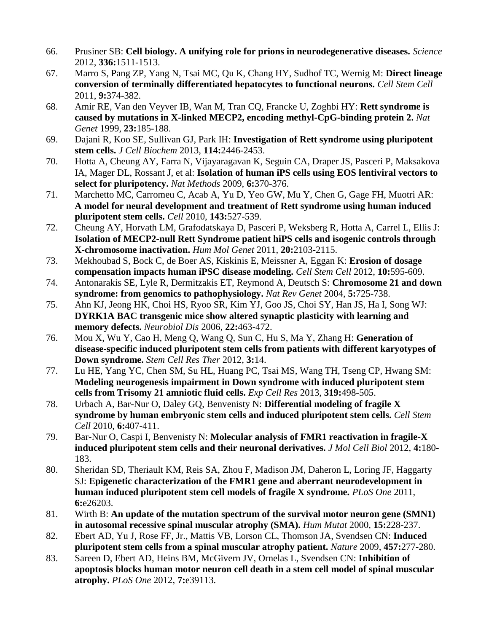- <span id="page-26-0"></span>66. Prusiner SB: **Cell biology. A unifying role for prions in neurodegenerative diseases.** *Science*  2012, **336:**1511-1513.
- <span id="page-26-1"></span>67. Marro S, Pang ZP, Yang N, Tsai MC, Qu K, Chang HY, Sudhof TC, Wernig M: **Direct lineage conversion of terminally differentiated hepatocytes to functional neurons.** *Cell Stem Cell*  2011, **9:**374-382.
- <span id="page-26-2"></span>68. Amir RE, Van den Veyver IB, Wan M, Tran CQ, Francke U, Zoghbi HY: **Rett syndrome is caused by mutations in X-linked MECP2, encoding methyl-CpG-binding protein 2.** *Nat Genet* 1999, **23:**185-188.
- <span id="page-26-3"></span>69. Dajani R, Koo SE, Sullivan GJ, Park IH: **Investigation of Rett syndrome using pluripotent stem cells.** *J Cell Biochem* 2013, **114:**2446-2453.
- <span id="page-26-4"></span>70. Hotta A, Cheung AY, Farra N, Vijayaragavan K, Seguin CA, Draper JS, Pasceri P, Maksakova IA, Mager DL, Rossant J, et al: **Isolation of human iPS cells using EOS lentiviral vectors to select for pluripotency.** *Nat Methods* 2009, **6:**370-376.
- <span id="page-26-5"></span>71. Marchetto MC, Carromeu C, Acab A, Yu D, Yeo GW, Mu Y, Chen G, Gage FH, Muotri AR: **A model for neural development and treatment of Rett syndrome using human induced pluripotent stem cells.** *Cell* 2010, **143:**527-539.
- <span id="page-26-6"></span>72. Cheung AY, Horvath LM, Grafodatskaya D, Pasceri P, Weksberg R, Hotta A, Carrel L, Ellis J: **Isolation of MECP2-null Rett Syndrome patient hiPS cells and isogenic controls through X-chromosome inactivation.** *Hum Mol Genet* 2011, **20:**2103-2115.
- <span id="page-26-7"></span>73. Mekhoubad S, Bock C, de Boer AS, Kiskinis E, Meissner A, Eggan K: **Erosion of dosage compensation impacts human iPSC disease modeling.** *Cell Stem Cell* 2012, **10:**595-609.
- <span id="page-26-8"></span>74. Antonarakis SE, Lyle R, Dermitzakis ET, Reymond A, Deutsch S: **Chromosome 21 and down syndrome: from genomics to pathophysiology.** *Nat Rev Genet* 2004, **5:**725-738.
- <span id="page-26-9"></span>75. Ahn KJ, Jeong HK, Choi HS, Ryoo SR, Kim YJ, Goo JS, Choi SY, Han JS, Ha I, Song WJ: **DYRK1A BAC transgenic mice show altered synaptic plasticity with learning and memory defects.** *Neurobiol Dis* 2006, **22:**463-472.
- <span id="page-26-10"></span>76. Mou X, Wu Y, Cao H, Meng Q, Wang Q, Sun C, Hu S, Ma Y, Zhang H: **Generation of disease-specific induced pluripotent stem cells from patients with different karyotypes of Down syndrome.** *Stem Cell Res Ther* 2012, **3:**14.
- <span id="page-26-11"></span>77. Lu HE, Yang YC, Chen SM, Su HL, Huang PC, Tsai MS, Wang TH, Tseng CP, Hwang SM: **Modeling neurogenesis impairment in Down syndrome with induced pluripotent stem cells from Trisomy 21 amniotic fluid cells.** *Exp Cell Res* 2013, **319:**498-505.
- <span id="page-26-12"></span>78. Urbach A, Bar-Nur O, Daley GQ, Benvenisty N: **Differential modeling of fragile X syndrome by human embryonic stem cells and induced pluripotent stem cells.** *Cell Stem Cell* 2010, **6:**407-411.
- <span id="page-26-13"></span>79. Bar-Nur O, Caspi I, Benvenisty N: **Molecular analysis of FMR1 reactivation in fragile-X induced pluripotent stem cells and their neuronal derivatives.** *J Mol Cell Biol* 2012, **4:**180- 183.
- <span id="page-26-14"></span>80. Sheridan SD, Theriault KM, Reis SA, Zhou F, Madison JM, Daheron L, Loring JF, Haggarty SJ: **Epigenetic characterization of the FMR1 gene and aberrant neurodevelopment in human induced pluripotent stem cell models of fragile X syndrome.** *PLoS One* 2011, **6:**e26203.
- <span id="page-26-15"></span>81. Wirth B: **An update of the mutation spectrum of the survival motor neuron gene (SMN1) in autosomal recessive spinal muscular atrophy (SMA).** *Hum Mutat* 2000, **15:**228-237.
- <span id="page-26-16"></span>82. Ebert AD, Yu J, Rose FF, Jr., Mattis VB, Lorson CL, Thomson JA, Svendsen CN: **Induced pluripotent stem cells from a spinal muscular atrophy patient.** *Nature* 2009, **457:**277-280.
- <span id="page-26-17"></span>83. Sareen D, Ebert AD, Heins BM, McGivern JV, Ornelas L, Svendsen CN: **Inhibition of apoptosis blocks human motor neuron cell death in a stem cell model of spinal muscular atrophy.** *PLoS One* 2012, **7:**e39113.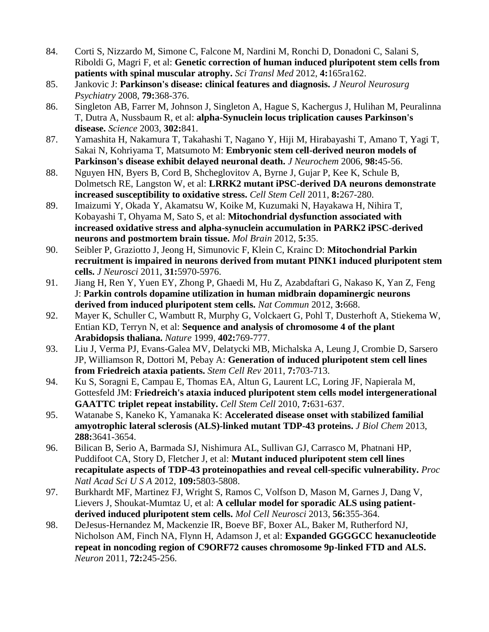- <span id="page-27-0"></span>84. Corti S, Nizzardo M, Simone C, Falcone M, Nardini M, Ronchi D, Donadoni C, Salani S, Riboldi G, Magri F, et al: **Genetic correction of human induced pluripotent stem cells from patients with spinal muscular atrophy.** *Sci Transl Med* 2012, **4:**165ra162.
- <span id="page-27-1"></span>85. Jankovic J: **Parkinson's disease: clinical features and diagnosis.** *J Neurol Neurosurg Psychiatry* 2008, **79:**368-376.
- <span id="page-27-2"></span>86. Singleton AB, Farrer M, Johnson J, Singleton A, Hague S, Kachergus J, Hulihan M, Peuralinna T, Dutra A, Nussbaum R, et al: **alpha-Synuclein locus triplication causes Parkinson's disease.** *Science* 2003, **302:**841.
- <span id="page-27-3"></span>87. Yamashita H, Nakamura T, Takahashi T, Nagano Y, Hiji M, Hirabayashi T, Amano T, Yagi T, Sakai N, Kohriyama T, Matsumoto M: **Embryonic stem cell-derived neuron models of Parkinson's disease exhibit delayed neuronal death.** *J Neurochem* 2006, **98:**45-56.
- <span id="page-27-4"></span>88. Nguyen HN, Byers B, Cord B, Shcheglovitov A, Byrne J, Gujar P, Kee K, Schule B, Dolmetsch RE, Langston W, et al: **LRRK2 mutant iPSC-derived DA neurons demonstrate increased susceptibility to oxidative stress.** *Cell Stem Cell* 2011, **8:**267-280.
- <span id="page-27-5"></span>89. Imaizumi Y, Okada Y, Akamatsu W, Koike M, Kuzumaki N, Hayakawa H, Nihira T, Kobayashi T, Ohyama M, Sato S, et al: **Mitochondrial dysfunction associated with increased oxidative stress and alpha-synuclein accumulation in PARK2 iPSC-derived neurons and postmortem brain tissue.** *Mol Brain* 2012, **5:**35.
- <span id="page-27-6"></span>90. Seibler P, Graziotto J, Jeong H, Simunovic F, Klein C, Krainc D: **Mitochondrial Parkin recruitment is impaired in neurons derived from mutant PINK1 induced pluripotent stem cells.** *J Neurosci* 2011, **31:**5970-5976.
- <span id="page-27-7"></span>91. Jiang H, Ren Y, Yuen EY, Zhong P, Ghaedi M, Hu Z, Azabdaftari G, Nakaso K, Yan Z, Feng J: **Parkin controls dopamine utilization in human midbrain dopaminergic neurons derived from induced pluripotent stem cells.** *Nat Commun* 2012, **3:**668.
- <span id="page-27-8"></span>92. Mayer K, Schuller C, Wambutt R, Murphy G, Volckaert G, Pohl T, Dusterhoft A, Stiekema W, Entian KD, Terryn N, et al: **Sequence and analysis of chromosome 4 of the plant Arabidopsis thaliana.** *Nature* 1999, **402:**769-777.
- <span id="page-27-9"></span>93. Liu J, Verma PJ, Evans-Galea MV, Delatycki MB, Michalska A, Leung J, Crombie D, Sarsero JP, Williamson R, Dottori M, Pebay A: **Generation of induced pluripotent stem cell lines from Friedreich ataxia patients.** *Stem Cell Rev* 2011, **7:**703-713.
- <span id="page-27-10"></span>94. Ku S, Soragni E, Campau E, Thomas EA, Altun G, Laurent LC, Loring JF, Napierala M, Gottesfeld JM: **Friedreich's ataxia induced pluripotent stem cells model intergenerational GAATTC triplet repeat instability.** *Cell Stem Cell* 2010, **7:**631-637.
- <span id="page-27-11"></span>95. Watanabe S, Kaneko K, Yamanaka K: **Accelerated disease onset with stabilized familial amyotrophic lateral sclerosis (ALS)-linked mutant TDP-43 proteins.** *J Biol Chem* 2013, **288:**3641-3654.
- <span id="page-27-12"></span>96. Bilican B, Serio A, Barmada SJ, Nishimura AL, Sullivan GJ, Carrasco M, Phatnani HP, Puddifoot CA, Story D, Fletcher J, et al: **Mutant induced pluripotent stem cell lines recapitulate aspects of TDP-43 proteinopathies and reveal cell-specific vulnerability.** *Proc Natl Acad Sci U S A* 2012, **109:**5803-5808.
- <span id="page-27-13"></span>97. Burkhardt MF, Martinez FJ, Wright S, Ramos C, Volfson D, Mason M, Garnes J, Dang V, Lievers J, Shoukat-Mumtaz U, et al: **A cellular model for sporadic ALS using patientderived induced pluripotent stem cells.** *Mol Cell Neurosci* 2013, **56:**355-364.
- <span id="page-27-14"></span>98. DeJesus-Hernandez M, Mackenzie IR, Boeve BF, Boxer AL, Baker M, Rutherford NJ, Nicholson AM, Finch NA, Flynn H, Adamson J, et al: **Expanded GGGGCC hexanucleotide repeat in noncoding region of C9ORF72 causes chromosome 9p-linked FTD and ALS.** *Neuron* 2011, **72:**245-256.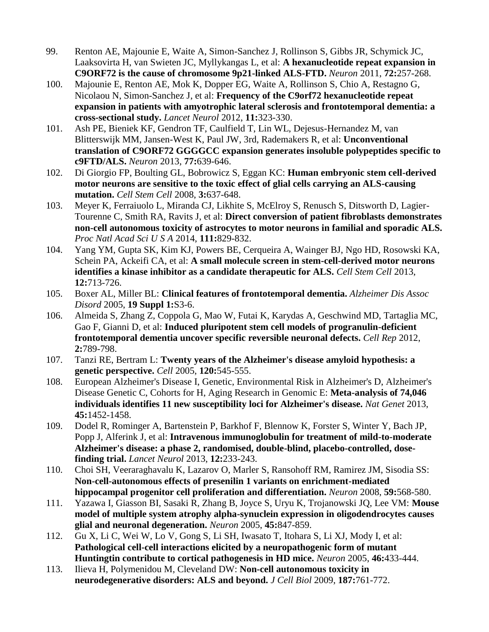- <span id="page-28-0"></span>99. Renton AE, Majounie E, Waite A, Simon-Sanchez J, Rollinson S, Gibbs JR, Schymick JC, Laaksovirta H, van Swieten JC, Myllykangas L, et al: **A hexanucleotide repeat expansion in C9ORF72 is the cause of chromosome 9p21-linked ALS-FTD.** *Neuron* 2011, **72:**257-268.
- <span id="page-28-1"></span>100. Majounie E, Renton AE, Mok K, Dopper EG, Waite A, Rollinson S, Chio A, Restagno G, Nicolaou N, Simon-Sanchez J, et al: **Frequency of the C9orf72 hexanucleotide repeat expansion in patients with amyotrophic lateral sclerosis and frontotemporal dementia: a cross-sectional study.** *Lancet Neurol* 2012, **11:**323-330.
- <span id="page-28-2"></span>101. Ash PE, Bieniek KF, Gendron TF, Caulfield T, Lin WL, Dejesus-Hernandez M, van Blitterswijk MM, Jansen-West K, Paul JW, 3rd, Rademakers R, et al: **Unconventional translation of C9ORF72 GGGGCC expansion generates insoluble polypeptides specific to c9FTD/ALS.** *Neuron* 2013, **77:**639-646.
- <span id="page-28-3"></span>102. Di Giorgio FP, Boulting GL, Bobrowicz S, Eggan KC: **Human embryonic stem cell-derived motor neurons are sensitive to the toxic effect of glial cells carrying an ALS-causing mutation.** *Cell Stem Cell* 2008, **3:**637-648.
- <span id="page-28-4"></span>103. Meyer K, Ferraiuolo L, Miranda CJ, Likhite S, McElroy S, Renusch S, Ditsworth D, Lagier-Tourenne C, Smith RA, Ravits J, et al: **Direct conversion of patient fibroblasts demonstrates non-cell autonomous toxicity of astrocytes to motor neurons in familial and sporadic ALS.** *Proc Natl Acad Sci U S A* 2014, **111:**829-832.
- <span id="page-28-5"></span>104. Yang YM, Gupta SK, Kim KJ, Powers BE, Cerqueira A, Wainger BJ, Ngo HD, Rosowski KA, Schein PA, Ackeifi CA, et al: **A small molecule screen in stem-cell-derived motor neurons identifies a kinase inhibitor as a candidate therapeutic for ALS.** *Cell Stem Cell* 2013, **12:**713-726.
- <span id="page-28-6"></span>105. Boxer AL, Miller BL: **Clinical features of frontotemporal dementia.** *Alzheimer Dis Assoc Disord* 2005, **19 Suppl 1:**S3-6.
- <span id="page-28-7"></span>106. Almeida S, Zhang Z, Coppola G, Mao W, Futai K, Karydas A, Geschwind MD, Tartaglia MC, Gao F, Gianni D, et al: **Induced pluripotent stem cell models of progranulin-deficient frontotemporal dementia uncover specific reversible neuronal defects.** *Cell Rep* 2012, **2:**789-798.
- <span id="page-28-8"></span>107. Tanzi RE, Bertram L: **Twenty years of the Alzheimer's disease amyloid hypothesis: a genetic perspective.** *Cell* 2005, **120:**545-555.
- <span id="page-28-9"></span>108. European Alzheimer's Disease I, Genetic, Environmental Risk in Alzheimer's D, Alzheimer's Disease Genetic C, Cohorts for H, Aging Research in Genomic E: **Meta-analysis of 74,046 individuals identifies 11 new susceptibility loci for Alzheimer's disease.** *Nat Genet* 2013, **45:**1452-1458.
- <span id="page-28-10"></span>109. Dodel R, Rominger A, Bartenstein P, Barkhof F, Blennow K, Forster S, Winter Y, Bach JP, Popp J, Alferink J, et al: **Intravenous immunoglobulin for treatment of mild-to-moderate Alzheimer's disease: a phase 2, randomised, double-blind, placebo-controlled, dosefinding trial.** *Lancet Neurol* 2013, **12:**233-243.
- <span id="page-28-11"></span>110. Choi SH, Veeraraghavalu K, Lazarov O, Marler S, Ransohoff RM, Ramirez JM, Sisodia SS: **Non-cell-autonomous effects of presenilin 1 variants on enrichment-mediated hippocampal progenitor cell proliferation and differentiation.** *Neuron* 2008, **59:**568-580.
- <span id="page-28-12"></span>111. Yazawa I, Giasson BI, Sasaki R, Zhang B, Joyce S, Uryu K, Trojanowski JQ, Lee VM: **Mouse model of multiple system atrophy alpha-synuclein expression in oligodendrocytes causes glial and neuronal degeneration.** *Neuron* 2005, **45:**847-859.
- <span id="page-28-13"></span>112. Gu X, Li C, Wei W, Lo V, Gong S, Li SH, Iwasato T, Itohara S, Li XJ, Mody I, et al: **Pathological cell-cell interactions elicited by a neuropathogenic form of mutant Huntingtin contribute to cortical pathogenesis in HD mice.** *Neuron* 2005, **46:**433-444.
- <span id="page-28-14"></span>113. Ilieva H, Polymenidou M, Cleveland DW: **Non-cell autonomous toxicity in neurodegenerative disorders: ALS and beyond.** *J Cell Biol* 2009, **187:**761-772.